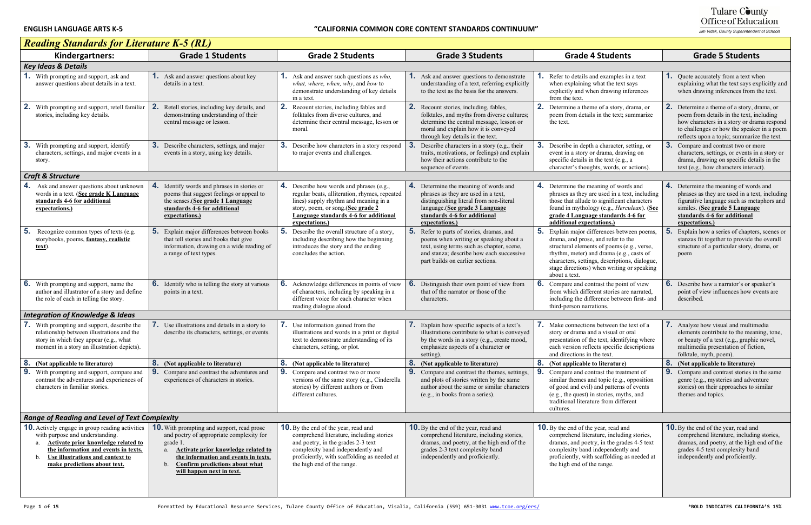#### **LANGUAGE ARTS K‐5 "CALIFORNIA COMMON CORE CONTENT STANDARDS CONTINUUM"**

# Tulare County<br>Office of Education

| <b>Grade 1 Students</b><br>Kindergartners:                                                                                                                                                                                                                                                                                                                                                                                                                                                                                 | <b>Grade 2 Students</b>                                                                                                                                                                                                                         |                                                                                                                                                                                                                         |                                                                                                                                                                                                                                                                                             |                                                                                                                                                                                                                                         |
|----------------------------------------------------------------------------------------------------------------------------------------------------------------------------------------------------------------------------------------------------------------------------------------------------------------------------------------------------------------------------------------------------------------------------------------------------------------------------------------------------------------------------|-------------------------------------------------------------------------------------------------------------------------------------------------------------------------------------------------------------------------------------------------|-------------------------------------------------------------------------------------------------------------------------------------------------------------------------------------------------------------------------|---------------------------------------------------------------------------------------------------------------------------------------------------------------------------------------------------------------------------------------------------------------------------------------------|-----------------------------------------------------------------------------------------------------------------------------------------------------------------------------------------------------------------------------------------|
|                                                                                                                                                                                                                                                                                                                                                                                                                                                                                                                            |                                                                                                                                                                                                                                                 | <b>Grade 3 Students</b>                                                                                                                                                                                                 | <b>Grade 4 Students</b>                                                                                                                                                                                                                                                                     | <b>Grade 5 Students</b>                                                                                                                                                                                                                 |
| <b>Key Ideas &amp; Details</b>                                                                                                                                                                                                                                                                                                                                                                                                                                                                                             |                                                                                                                                                                                                                                                 |                                                                                                                                                                                                                         |                                                                                                                                                                                                                                                                                             |                                                                                                                                                                                                                                         |
| <b>1.</b> Ask and answer questions about key<br><b>1.</b> With prompting and support, ask and<br>answer questions about details in a text.<br>details in a text.                                                                                                                                                                                                                                                                                                                                                           | Ask and answer such questions as who,<br>what, where, when, why, and how to<br>demonstrate understanding of key details<br>in a text.                                                                                                           | <b>1.</b> Ask and answer questions to demonstrate<br>understanding of a text, referring explicitly<br>to the text as the basis for the answers.                                                                         | Refer to details and examples in a text<br>when explaining what the text says<br>explicitly and when drawing inferences<br>from the text.                                                                                                                                                   | <b>1.</b> Quote accurately from a text when<br>explaining what the text says explicitly and<br>when drawing inferences from the text.                                                                                                   |
| With prompting and support, retell familiar<br>Retell stories, including key details, and<br>$\mathbf{2}$ .<br>stories, including key details.<br>demonstrating understanding of their<br>central message or lesson.                                                                                                                                                                                                                                                                                                       | 2.<br>Recount stories, including fables and<br>folktales from diverse cultures, and<br>determine their central message, lesson or<br>moral.                                                                                                     | 2. Recount stories, including, fables,<br>folktales, and myths from diverse cultures;<br>determine the central message, lesson or<br>moral and explain how it is conveyed<br>through key details in the text.           | 2. Determine a theme of a story, drama, or<br>poem from details in the text; summarize<br>the text.                                                                                                                                                                                         | <b>2.</b> Determine a theme of a story, drama, or<br>poem from details in the text, including<br>how characters in a story or drama respond<br>to challenges or how the speaker in a poem<br>reflects upon a topic; summarize the text. |
| 3.<br>3. Describe characters, settings, and major<br>With prompting and support, identify<br>events in a story, using key details.<br>characters, settings, and major events in a<br>story.                                                                                                                                                                                                                                                                                                                                | 3.<br>Describe how characters in a story respond<br>to major events and challenges.                                                                                                                                                             | 3<br>Describe characters in a story (e.g., their<br>traits, motivations, or feelings) and explain<br>how their actions contribute to the<br>sequence of events.                                                         | Describe in depth a character, setting, or<br>event in a story or drama, drawing on<br>specific details in the text (e.g., a<br>character's thoughts, words, or actions).                                                                                                                   | Compare and contrast two or more<br>characters, settings, or events in a story or<br>drama, drawing on specific details in the<br>text (e.g., how characters interact)                                                                  |
| <b>Craft &amp; Structure</b>                                                                                                                                                                                                                                                                                                                                                                                                                                                                                               |                                                                                                                                                                                                                                                 |                                                                                                                                                                                                                         |                                                                                                                                                                                                                                                                                             |                                                                                                                                                                                                                                         |
| 4. Identify words and phrases in stories or<br>4. Ask and answer questions about unknown<br>poems that suggest feelings or appeal to<br>words in a text. (See grade K Language<br>standards 4-6 for additional<br>the senses. (See grade 1 Language<br>standards 4-6 for additional<br>expectations.)<br>expectations.)                                                                                                                                                                                                    | 4. Describe how words and phrases (e.g.,<br>regular beats, alliteration, rhymes, repeated<br>lines) supply rhythm and meaning in a<br>story, poem, or song.(See grade 2<br>Language standards 4-6 for additional<br>expectations.)              | 4. Determine the meaning of words and<br>phrases as they are used in a text,<br>distinguishing literal from non-literal<br>language. (See grade 3 Language<br>standards 4-6 for additional<br>expectations.)            | 4. Determine the meaning of words and<br>phrases as they are used in a text, including<br>those that allude to significant characters<br>found in mythology (e.g., Herculean). (See<br>grade 4 Language standards 4-6 for<br>additional expectations.)                                      | 4. Determine the meaning of words and<br>phrases as they are used in a text, including<br>figurative language such as metaphors and<br>similes. (See grade 5 Language<br>standards 4-6 for additional<br>expectations.)                 |
| 5. Explain major differences between books<br>5.<br>Recognize common types of texts (e.g.<br>that tell stories and books that give<br>storybooks, poems, fantasy, realistic<br>information, drawing on a wide reading of<br><u>text</u> )<br>a range of text types.                                                                                                                                                                                                                                                        | -5.<br>Describe the overall structure of a story,<br>including describing how the beginning<br>introduces the story and the ending<br>concludes the action.                                                                                     | <b>5.</b> Refer to parts of stories, dramas, and<br>poems when writing or speaking about a<br>text, using terms such as chapter, scene,<br>and stanza; describe how each successive<br>part builds on earlier sections. | 5. Explain major differences between poems,<br>drama, and prose, and refer to the<br>structural elements of poems (e.g., verse,<br>rhythm, meter) and drama (e.g., casts of<br>characters, settings, descriptions, dialogue,<br>stage directions) when writing or speaking<br>about a text. | Explain how a series of chapters, scenes or<br>stanzas fit together to provide the overall<br>structure of a particular story, drama, or<br>poem                                                                                        |
| 6. Identify who is telling the story at various<br>6.<br>With prompting and support, name the<br>author and illustrator of a story and define<br>points in a text.<br>the role of each in telling the story.                                                                                                                                                                                                                                                                                                               | 6.<br>Acknowledge differences in points of view<br>of characters, including by speaking in a<br>different voice for each character when<br>reading dialogue aloud.                                                                              | 6.<br>Distinguish their own point of view from<br>that of the narrator or those of the<br>characters.                                                                                                                   | 6.<br>Compare and contrast the point of view<br>from which different stories are narrated,<br>including the difference between first- and<br>third-person narrations.                                                                                                                       | <b>6.</b> Describe how a narrator's or speaker's<br>point of view influences how events are<br>described.                                                                                                                               |
| <b>Integration of Knowledge &amp; Ideas</b>                                                                                                                                                                                                                                                                                                                                                                                                                                                                                |                                                                                                                                                                                                                                                 |                                                                                                                                                                                                                         |                                                                                                                                                                                                                                                                                             |                                                                                                                                                                                                                                         |
| <b>7.</b> Use illustrations and details in a story to<br><b>7.</b> With prompting and support, describe the<br>relationship between illustrations and the<br>describe its characters, settings, or events.<br>story in which they appear (e.g., what<br>moment in a story an illustration depicts).                                                                                                                                                                                                                        | <b>7.</b> Use information gained from the<br>illustrations and words in a print or digital<br>text to demonstrate understanding of its<br>characters, setting, or plot.                                                                         | <b>7.</b> Explain how specific aspects of a text's<br>illustrations contribute to what is conveyed<br>by the words in a story (e.g., create mood,<br>emphasize aspects of a character or<br>setting).                   | 7. Make connections between the text of a<br>story or drama and a visual or oral<br>presentation of the text, identifying where<br>each version reflects specific descriptions<br>and directions in the text.                                                                               | <b>7.</b> Analyze how visual and multimedia<br>elements contribute to the meaning, tone,<br>or beauty of a text (e.g., graphic novel,<br>multimedia presentation of fiction,<br>folktale, myth, poem).                                  |
| (Not applicable to literature)<br><b>8.</b> (Not applicable to literature)<br>8.                                                                                                                                                                                                                                                                                                                                                                                                                                           | 8.<br>(Not applicable to literature)                                                                                                                                                                                                            | 8.<br>(Not applicable to literature)                                                                                                                                                                                    | 8.<br>(Not applicable to literature)                                                                                                                                                                                                                                                        | (Not applicable to literature)                                                                                                                                                                                                          |
| 9.<br><b>9.</b> Compare and contrast the adventures and<br>With prompting and support, compare and<br>contrast the adventures and experiences of<br>experiences of characters in stories.<br>characters in familiar stories.                                                                                                                                                                                                                                                                                               | 9.<br>Compare and contrast two or more<br>versions of the same story (e.g., Cinderella<br>stories) by different authors or from<br>different cultures.                                                                                          | 9.<br>Compare and contrast the themes, settings,<br>and plots of stories written by the same<br>author about the same or similar characters<br>(e.g., in books from a series).                                          | Compare and contrast the treatment of<br>similar themes and topic (e.g., opposition<br>of good and evil) and patterns of events<br>(e.g., the quest) in stories, myths, and<br>traditional literature from different<br>cultures.                                                           | Compare and contrast stories in the same<br>genre (e.g., mysteries and adventure<br>stories) on their approaches to similar<br>themes and topics.                                                                                       |
| <b>Range of Reading and Level of Text Complexity</b>                                                                                                                                                                                                                                                                                                                                                                                                                                                                       |                                                                                                                                                                                                                                                 |                                                                                                                                                                                                                         |                                                                                                                                                                                                                                                                                             |                                                                                                                                                                                                                                         |
| <b>10.</b> With prompting and support, read prose<br><b>10.</b> Actively engage in group reading activities<br>with purpose and understanding.<br>and poetry of appropriate complexity for<br>Activate prior knowledge related to<br>grade 1.<br>the information and events in texts.<br>Activate prior knowledge related to<br>a.<br>Use illustrations and context to<br>the information and events in texts.<br><b>Confirm predictions about what</b><br>make predictions about text.<br>b.<br>will happen next in text. | <b>10.</b> By the end of the year, read and<br>comprehend literature, including stories<br>and poetry, in the grades 2-3 text<br>complexity band independently and<br>proficiently, with scaffolding as needed at<br>the high end of the range. | <b>10.</b> By the end of the year, read and<br>comprehend literature, including stories,<br>dramas, and poetry, at the high end of the<br>grades 2-3 text complexity band<br>independently and proficiently.            | <b>10.</b> By the end of the year, read and<br>comprehend literature, including stories,<br>dramas, and poetry, in the grades 4-5 text<br>complexity band independently and<br>proficiently, with scaffolding as needed at<br>the high end of the range.                                    | <b>10.</b> By the end of the year, read and<br>comprehend literature, including stories,<br>dramas, and poetry, at the high end of the<br>grades 4-5 text complexity band<br>independently and proficiently.                            |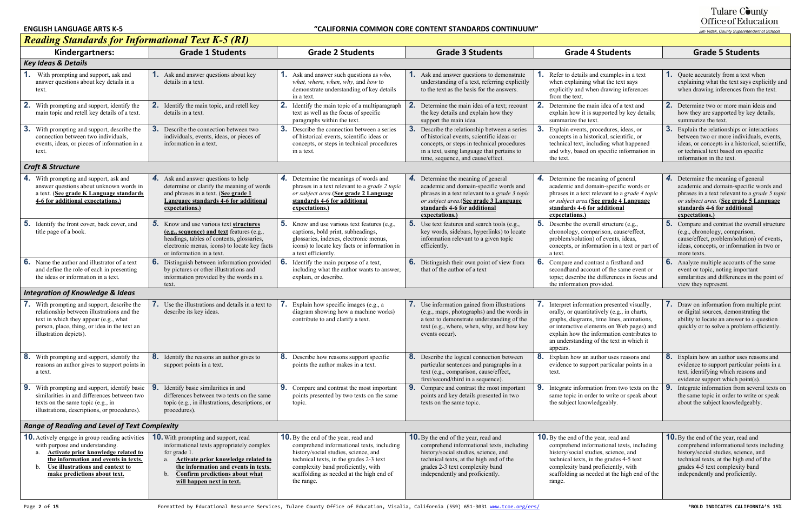#### **LANGUAGE ARTS K‐5 "CALIFORNIA COMMON CORE CONTENT STANDARDS CONTINUUM"**

# *Reading Standards for Informational Text K-5 (RI)*

| Kindergartners:                                                                                                                                                                                                                                 | <b>Grade 1 Students</b>                                                                                                                                                                                                                                                        | <b>Grade 2 Students</b>                                                                                                                                                                                                                                                     | <b>Grade 3 Students</b>                                                                                                                                                                                                                           | <b>Grade 4 Students</b>                                                                                                                                                                                                                                                                  | <b>Grade 5 Students</b>                                                                                                                                                                                                                          |
|-------------------------------------------------------------------------------------------------------------------------------------------------------------------------------------------------------------------------------------------------|--------------------------------------------------------------------------------------------------------------------------------------------------------------------------------------------------------------------------------------------------------------------------------|-----------------------------------------------------------------------------------------------------------------------------------------------------------------------------------------------------------------------------------------------------------------------------|---------------------------------------------------------------------------------------------------------------------------------------------------------------------------------------------------------------------------------------------------|------------------------------------------------------------------------------------------------------------------------------------------------------------------------------------------------------------------------------------------------------------------------------------------|--------------------------------------------------------------------------------------------------------------------------------------------------------------------------------------------------------------------------------------------------|
| <b>Key Ideas &amp; Details</b>                                                                                                                                                                                                                  |                                                                                                                                                                                                                                                                                |                                                                                                                                                                                                                                                                             |                                                                                                                                                                                                                                                   |                                                                                                                                                                                                                                                                                          |                                                                                                                                                                                                                                                  |
| With prompting and support, ask and<br>answer questions about key details in a<br>text.                                                                                                                                                         | <b>1.</b> Ask and answer questions about key<br>details in a text.                                                                                                                                                                                                             | Ask and answer such questions as who,<br>what, where, when, why, and how to<br>demonstrate understanding of key details<br>in a text.                                                                                                                                       | <b>1.</b> Ask and answer questions to demonstrate<br>understanding of a text, referring explicitly<br>to the text as the basis for the answers.                                                                                                   | Refer to details and examples in a text<br>when explaining what the text says<br>explicitly and when drawing inferences<br>from the text.                                                                                                                                                | <b>1.</b> Quote accurately from a text when<br>explaining what the text says explicitly and<br>when drawing inferences from the text.                                                                                                            |
| 2<br>With prompting and support, identify the<br>main topic and retell key details of a text.                                                                                                                                                   | <b>2.</b> Identify the main topic, and retell key<br>details in a text.                                                                                                                                                                                                        | $\mathbf{2}$ .<br>Identify the main topic of a multiparagraph<br>text as well as the focus of specific<br>paragraphs within the text.                                                                                                                                       | 2.<br>Determine the main idea of a text; recount<br>the key details and explain how they<br>support the main idea.                                                                                                                                | 2.<br>Determine the main idea of a text and<br>explain how it is supported by key details;<br>summarize the text                                                                                                                                                                         | 2. Determine two or more main ideas and<br>how they are supported by key details;<br>summarize the text.                                                                                                                                         |
| 3.<br>With prompting and support, describe the<br>connection between two individuals,<br>events, ideas, or pieces of information in a<br>text.                                                                                                  | <b>3.</b> Describe the connection between two<br>individuals, events, ideas, or pieces of<br>information in a text.                                                                                                                                                            | 3 <sub>1</sub><br>Describe the connection between a series<br>of historical events, scientific ideas or<br>concepts, or steps in technical procedures<br>in a text.                                                                                                         | 3. Describe the relationship between a series<br>of historical events, scientific ideas or<br>concepts, or steps in technical procedures<br>in a text, using language that pertains to<br>time, sequence, and cause/effect.                       | 3 <sub>1</sub><br>Explain events, procedures, ideas, or<br>concepts in a historical, scientific, or<br>technical text, including what happened<br>and why, based on specific information in<br>the text.                                                                                 | <b>3.</b> Explain the relationships or interactions<br>between two or more individuals, events,<br>ideas, or concepts in a historical, scientific,<br>or technical text based on specific<br>information in the text.                            |
| <b>Craft &amp; Structure</b>                                                                                                                                                                                                                    |                                                                                                                                                                                                                                                                                |                                                                                                                                                                                                                                                                             |                                                                                                                                                                                                                                                   |                                                                                                                                                                                                                                                                                          |                                                                                                                                                                                                                                                  |
| 4. With prompting and support, ask and<br>answer questions about unknown words in<br>a text. (See grade K Language standards<br>4-6 for additional expectations.)                                                                               | 4. Ask and answer questions to help<br>determine or clarify the meaning of words<br>and phrases in a text. (See grade 1<br>Language standards 4-6 for additional<br>expectations.)                                                                                             | 4. Determine the meanings of words and<br>phrases in a text relevant to a grade 2 topic<br>or subject area.(See grade 2 Language<br>standards 4-6 for additional<br>expectations.)                                                                                          | 4. Determine the meaning of general<br>academic and domain-specific words and<br>phrases in a text relevant to a grade 3 topic<br>or subject area. (See grade 3 Language<br>standards 4-6 for additional<br>expectations.                         | 4. Determine the meaning of general<br>academic and domain-specific words or<br>phrases in a text relevant to a grade 4 topic<br>or subject area.(See grade 4 Language<br>standards 4-6 for additional<br>expectations.)                                                                 | 4. Determine the meaning of general<br>academic and domain-specific words and<br>phrases in a text relevant to a grade 5 topic<br>or subject area. (See grade 5 Language<br>standards 4-6 for additional<br>expectations.)                       |
| 5 <sub>1</sub><br>Identify the front cover, back cover, and<br>title page of a book.                                                                                                                                                            | <b>5.</b> Know and use various text structures<br>(e.g., sequence) and text features (e.g.,<br>headings, tables of contents, glossaries,<br>electronic menus, icons) to locate key facts<br>or information in a text.                                                          | 5.<br>Know and use various text features (e.g.,<br>captions, bold print, subheadings,<br>glossaries, indexes, electronic menus,<br>icons) to locate key facts or information in<br>a text efficiently.                                                                      | 5.<br>Use text features and search tools (e.g.,<br>key words, sidebars, hyperlinks) to locate<br>information relevant to a given topic<br>efficiently.                                                                                            | <b>5.</b> Describe the overall structure (e.g.,<br>chronology, comparison, cause/effect,<br>problem/solution) of events, ideas,<br>concepts, or information in a text or part of<br>a text.                                                                                              | <b>5.</b> Compare and contrast the overall structure<br>(e.g., chronology, comparison,<br>cause/effect, problem/solution) of events,<br>ideas, concepts, or information in two or<br>more texts.                                                 |
| 6.<br>Name the author and illustrator of a text<br>and define the role of each in presenting<br>the ideas or information in a text.                                                                                                             | <b>6.</b> Distinguish between information provided<br>by pictures or other illustrations and<br>information provided by the words in a<br>text.                                                                                                                                | 6.<br>Identify the main purpose of a text,<br>including what the author wants to answer,<br>explain, or describe.                                                                                                                                                           | <b>6.</b> Distinguish their own point of view from<br>that of the author of a text                                                                                                                                                                | 6.<br>Compare and contrast a firsthand and<br>secondhand account of the same event or<br>topic; describe the differences in focus and<br>the information provided                                                                                                                        | <b>6.</b> Analyze multiple accounts of the same<br>event or topic, noting important<br>similarities and differences in the point of<br>view they represent.                                                                                      |
| <b>Integration of Knowledge &amp; Ideas</b>                                                                                                                                                                                                     |                                                                                                                                                                                                                                                                                |                                                                                                                                                                                                                                                                             |                                                                                                                                                                                                                                                   |                                                                                                                                                                                                                                                                                          |                                                                                                                                                                                                                                                  |
| With prompting and support, describe the<br>relationship between illustrations and the<br>text in which they appear (e.g., what<br>person, place, thing, or idea in the text an<br>illustration depicts).                                       | 7. Use the illustrations and details in a text to<br>describe its key ideas.                                                                                                                                                                                                   | Explain how specific images (e.g., a<br>diagram showing how a machine works)<br>contribute to and clarify a text.                                                                                                                                                           | <b>7.</b> Use information gained from illustrations<br>(e.g., maps, photographs) and the words in<br>a text to demonstrate understanding of the<br>text (e.g., where, when, why, and how key<br>events occur).                                    | Interpret information presented visually,<br>orally, or quantitatively (e.g., in charts,<br>graphs, diagrams, time lines, animations,<br>or interactive elements on Web pages) and<br>explain how the information contributes to<br>an understanding of the text in which it<br>appears. | <b>7.</b> Draw on information from multiple print<br>or digital sources, demonstrating the<br>ability to locate an answer to a question<br>quickly or to solve a problem efficiently.                                                            |
| 8.<br>With prompting and support, identify the<br>reasons an author gives to support points in<br>a text.                                                                                                                                       | <b>8.</b> Identify the reasons an author gives to<br>support points in a text.                                                                                                                                                                                                 | 8. Describe how reasons support specific<br>points the author makes in a text.                                                                                                                                                                                              | <b>8.</b> Describe the logical connection between<br>particular sentences and paragraphs in a<br>text (e.g., comparison, cause/effect,<br>first/second/third in a sequence).                                                                      | 8. Explain how an author uses reasons and<br>evidence to support particular points in a<br>text.                                                                                                                                                                                         | 8. Explain how an author uses reasons and<br>evidence to support particular points in a<br>text, identifying which reasons and<br>evidence support which point(s).                                                                               |
| 9.<br>With prompting and support, identify basic<br>similarities in and differences between two<br>texts on the same topic (e.g., in<br>illustrations, descriptions, or procedures).                                                            | 9.<br>Identify basic similarities in and<br>differences between two texts on the same<br>topic (e.g., in illustrations, descriptions, or<br>procedures).                                                                                                                       | 9.<br>Compare and contrast the most important<br>points presented by two texts on the same<br>topic.                                                                                                                                                                        | 9. Compare and contrast the most important<br>points and key details presented in two<br>texts on the same topic.                                                                                                                                 | Integrate information from two texts on the<br>same topic in order to write or speak about<br>the subject knowledgeably.                                                                                                                                                                 | Integrate information from several texts on<br>the same topic in order to write or speak<br>about the subject knowledgeably.                                                                                                                     |
| <b>Range of Reading and Level of Text Complexity</b>                                                                                                                                                                                            |                                                                                                                                                                                                                                                                                |                                                                                                                                                                                                                                                                             |                                                                                                                                                                                                                                                   |                                                                                                                                                                                                                                                                                          |                                                                                                                                                                                                                                                  |
| <b>10.</b> Actively engage in group reading activities<br>with purpose and understanding.<br>a. Activate prior knowledge related to<br>the information and events in texts.<br>Use illustrations and context to<br>make predictions about text. | <b>10.</b> With prompting and support, read<br>informational texts appropriately complex<br>for grade 1.<br>Activate prior knowledge related to<br>a.<br>the information and events in texts.<br>Confirm predictions about what<br>b <sub>1</sub><br>will happen next in text. | <b>10.</b> By the end of the year, read and<br>comprehend informational texts, including<br>history/social studies, science, and<br>technical texts, in the grades 2-3 text<br>complexity band proficiently, with<br>scaffolding as needed at the high end of<br>the range. | <b>10.</b> By the end of the year, read and<br>comprehend informational texts, including<br>history/social studies, science, and<br>technical texts, at the high end of the<br>grades 2-3 text complexity band<br>independently and proficiently. | <b>10.</b> By the end of the year, read and<br>comprehend informational texts, including<br>history/social studies, science, and<br>technical texts, in the grades 4-5 text<br>complexity band proficiently, with<br>scaffolding as needed at the high end of the<br>range.              | <b>10.</b> By the end of the year, read and<br>comprehend informational texts including<br>history/social studies, science, and<br>technical texts, at the high end of the<br>grades 4-5 text complexity band<br>independently and proficiently. |

# Tulare County<br>Office of Education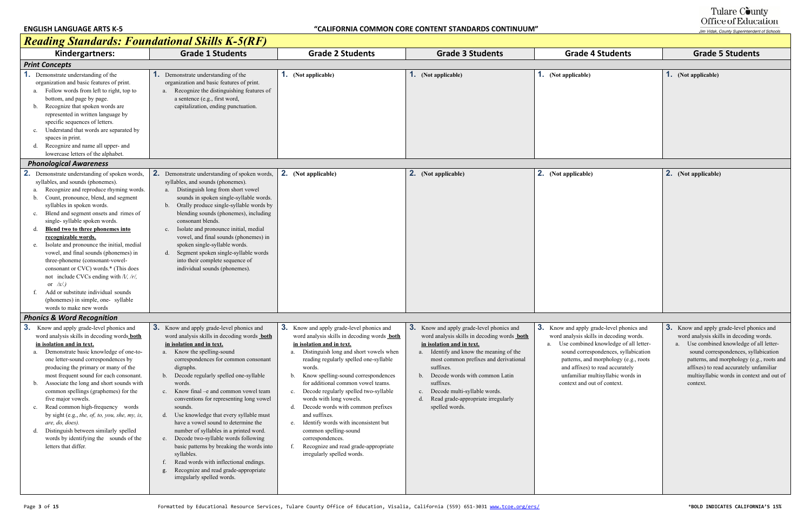# *Reading Standards: Foundational Skills K-5(RF)*

| Kindergartners:                                                                                                                                                                                                                                                                                                                                                                                                                                                                                                                                                                                                                                                                                            | <b>Grade 1 Students</b>                                                                                                                                                                                                                                                                                                                                                                                                                                                                                                                                                                                                                                                                                                                                       | <b>Grade 2 Students</b>                                                                                                                                                                                                                                                                                                                                                                                                                                                                                                                                                                                                       | <b>Grade 3 Students</b>                                                                                                                                                                                                                                                                                                                                                                                              | <b>Grade 4 Students</b>                                                                                                                                                                                                                                                                                                  | <b>Grade 5 Students</b>                                                                                                                                                                                                                                         |
|------------------------------------------------------------------------------------------------------------------------------------------------------------------------------------------------------------------------------------------------------------------------------------------------------------------------------------------------------------------------------------------------------------------------------------------------------------------------------------------------------------------------------------------------------------------------------------------------------------------------------------------------------------------------------------------------------------|---------------------------------------------------------------------------------------------------------------------------------------------------------------------------------------------------------------------------------------------------------------------------------------------------------------------------------------------------------------------------------------------------------------------------------------------------------------------------------------------------------------------------------------------------------------------------------------------------------------------------------------------------------------------------------------------------------------------------------------------------------------|-------------------------------------------------------------------------------------------------------------------------------------------------------------------------------------------------------------------------------------------------------------------------------------------------------------------------------------------------------------------------------------------------------------------------------------------------------------------------------------------------------------------------------------------------------------------------------------------------------------------------------|----------------------------------------------------------------------------------------------------------------------------------------------------------------------------------------------------------------------------------------------------------------------------------------------------------------------------------------------------------------------------------------------------------------------|--------------------------------------------------------------------------------------------------------------------------------------------------------------------------------------------------------------------------------------------------------------------------------------------------------------------------|-----------------------------------------------------------------------------------------------------------------------------------------------------------------------------------------------------------------------------------------------------------------|
| <b>Print Concepts</b>                                                                                                                                                                                                                                                                                                                                                                                                                                                                                                                                                                                                                                                                                      |                                                                                                                                                                                                                                                                                                                                                                                                                                                                                                                                                                                                                                                                                                                                                               |                                                                                                                                                                                                                                                                                                                                                                                                                                                                                                                                                                                                                               |                                                                                                                                                                                                                                                                                                                                                                                                                      |                                                                                                                                                                                                                                                                                                                          |                                                                                                                                                                                                                                                                 |
| Demonstrate understanding of the<br>organization and basic features of print.<br>Follow words from left to right, top to<br>bottom, and page by page.<br>Recognize that spoken words are<br>b.<br>represented in written language by<br>specific sequences of letters.<br>Understand that words are separated by<br>spaces in print.<br>Recognize and name all upper- and<br>d.<br>lowercase letters of the alphabet.                                                                                                                                                                                                                                                                                      | <b>1.</b> Demonstrate understanding of the<br>organization and basic features of print.<br>Recognize the distinguishing features of<br>a sentence (e.g., first word,<br>capitalization, ending punctuation.                                                                                                                                                                                                                                                                                                                                                                                                                                                                                                                                                   | <b>1.</b> (Not applicable)                                                                                                                                                                                                                                                                                                                                                                                                                                                                                                                                                                                                    | 1. (Not applicable)                                                                                                                                                                                                                                                                                                                                                                                                  | 1. (Not applicable)                                                                                                                                                                                                                                                                                                      | 1. (Not applicable)                                                                                                                                                                                                                                             |
| <b>Phonological Awareness</b>                                                                                                                                                                                                                                                                                                                                                                                                                                                                                                                                                                                                                                                                              |                                                                                                                                                                                                                                                                                                                                                                                                                                                                                                                                                                                                                                                                                                                                                               |                                                                                                                                                                                                                                                                                                                                                                                                                                                                                                                                                                                                                               |                                                                                                                                                                                                                                                                                                                                                                                                                      |                                                                                                                                                                                                                                                                                                                          |                                                                                                                                                                                                                                                                 |
| 2.<br>Demonstrate understanding of spoken words,<br>syllables, and sounds (phonemes).<br>Recognize and reproduce rhyming words.<br>Count, pronounce, blend, and segment<br>b.<br>syllables in spoken words.<br>Blend and segment onsets and rimes of<br>$c_{.}$<br>single-syllable spoken words.<br>Blend two to three phonemes into<br>recognizable words.<br>Isolate and pronounce the initial, medial<br>e.<br>vowel, and final sounds (phonemes) in<br>three-phoneme (consonant-vowel-<br>consonant or CVC) words.* (This does<br>not include CVCs ending with $/V$ , /r/,<br>or $\sqrt{x}$ .<br>Add or substitute individual sounds<br>(phonemes) in simple, one- syllable<br>words to make new words | 2.<br>Demonstrate understanding of spoken words,<br>syllables, and sounds (phonemes).<br>Distinguish long from short vowel<br>sounds in spoken single-syllable words.<br>b. Orally produce single-syllable words by<br>blending sounds (phonemes), including<br>consonant blends.<br>Isolate and pronounce initial, medial<br>$\mathbf{C}$ .<br>vowel, and final sounds (phonemes) in<br>spoken single-syllable words.<br>Segment spoken single-syllable words<br>into their complete sequence of<br>individual sounds (phonemes).                                                                                                                                                                                                                            | 2.<br>(Not applicable)                                                                                                                                                                                                                                                                                                                                                                                                                                                                                                                                                                                                        | 2.<br>(Not applicable)                                                                                                                                                                                                                                                                                                                                                                                               | 2.<br>(Not applicable)                                                                                                                                                                                                                                                                                                   | $\mathbf{2}$ .<br>(Not applicable)                                                                                                                                                                                                                              |
| <b>Phonics &amp; Word Recognition</b>                                                                                                                                                                                                                                                                                                                                                                                                                                                                                                                                                                                                                                                                      |                                                                                                                                                                                                                                                                                                                                                                                                                                                                                                                                                                                                                                                                                                                                                               |                                                                                                                                                                                                                                                                                                                                                                                                                                                                                                                                                                                                                               |                                                                                                                                                                                                                                                                                                                                                                                                                      |                                                                                                                                                                                                                                                                                                                          |                                                                                                                                                                                                                                                                 |
| 3.<br>Know and apply grade-level phonics and<br>word analysis skills in decoding words both<br>in isolation and in text.<br>Demonstrate basic knowledge of one-to-<br>one letter-sound correspondences by<br>producing the primary or many of the<br>most frequent sound for each consonant.<br>Associate the long and short sounds with<br>b.<br>common spellings (graphemes) for the<br>five major vowels.<br>Read common high-frequency words<br>$c_{\cdot}$<br>by sight (e.g., the, of, to, you, she, my, is,<br>are, do, does).<br>Distinguish between similarly spelled<br>d.<br>words by identifying the sounds of the<br>letters that differ.                                                      | 3. Know and apply grade-level phonics and<br>word analysis skills in decoding words both<br>in isolation and in text.<br>Know the spelling-sound<br>a.<br>correspondences for common consonant<br>digraphs.<br>Decode regularly spelled one-syllable<br>$\mathbf{b}$ .<br>words.<br>Know final -e and common vowel team<br>$c_{\cdot}$<br>conventions for representing long vowel<br>sounds.<br>Use knowledge that every syllable must<br>$d_{\cdot}$<br>have a vowel sound to determine the<br>number of syllables in a printed word.<br>Decode two-syllable words following<br>e.<br>basic patterns by breaking the words into<br>syllables.<br>Read words with inflectional endings.<br>Recognize and read grade-appropriate<br>irregularly spelled words. | 3. Know and apply grade-level phonics and<br>word analysis skills in decoding words <b>both</b><br>in isolation and in text.<br>Distinguish long and short vowels when<br>reading regularly spelled one-syllable<br>words.<br>Know spelling-sound correspondences<br>b.<br>for additional common vowel teams.<br>Decode regularly spelled two-syllable<br>$c_{\cdot}$<br>words with long vowels.<br>Decode words with common prefixes<br>d.<br>and suffixes.<br>Identify words with inconsistent but<br>e.<br>common spelling-sound<br>correspondences.<br>Recognize and read grade-appropriate<br>irregularly spelled words. | 3 <sub>1</sub><br>Know and apply grade-level phonics and<br>word analysis skills in decoding words <b>both</b><br>in isolation and in text.<br>Identify and know the meaning of the<br>a.<br>most common prefixes and derivational<br>suffixes.<br>Decode words with common Latin<br>$\mathbf{b}$ .<br>suffixes.<br>Decode multi-syllable words.<br>c.<br>Read grade-appropriate irregularly<br>d.<br>spelled words. | 3. Know and apply grade-level phonics and<br>word analysis skills in decoding words.<br>a. Use combined knowledge of all letter-<br>sound correspondences, syllabication<br>patterns, and morphology (e.g., roots<br>and affixes) to read accurately<br>unfamiliar multisyllabic words in<br>context and out of context. | 3.<br>Know and apply grade-level phon<br>word analysis skills in decoding w<br>a. Use combined knowledge of a<br>sound correspondences, sylla<br>patterns, and morphology (e.g<br>affixes) to read accurately uni<br>multisyllabic words in context<br>context. |

# Tulare County<br>Office of Education

| <b>Grade 4 Students</b>                                                                                                                                                                                                                                                                                                  | <b>Grade 5 Students</b>                                                                                                                                                                                                                                                                                                     |
|--------------------------------------------------------------------------------------------------------------------------------------------------------------------------------------------------------------------------------------------------------------------------------------------------------------------------|-----------------------------------------------------------------------------------------------------------------------------------------------------------------------------------------------------------------------------------------------------------------------------------------------------------------------------|
| (Not applicable)                                                                                                                                                                                                                                                                                                         | <b>1.</b> (Not applicable)                                                                                                                                                                                                                                                                                                  |
|                                                                                                                                                                                                                                                                                                                          |                                                                                                                                                                                                                                                                                                                             |
| (Not applicable)<br>ä,                                                                                                                                                                                                                                                                                                   | 2.<br>(Not applicable)                                                                                                                                                                                                                                                                                                      |
|                                                                                                                                                                                                                                                                                                                          |                                                                                                                                                                                                                                                                                                                             |
| Know and apply grade-level phonics and<br>word analysis skills in decoding words.<br>Use combined knowledge of all letter-<br>a.<br>sound correspondences, syllabication<br>patterns, and morphology (e.g., roots<br>and affixes) to read accurately<br>unfamiliar multisyllabic words in<br>context and out of context. | 3. Know and apply grade-level phonics and<br>word analysis skills in decoding words.<br>Use combined knowledge of all letter-<br>a.<br>sound correspondences, syllabication<br>patterns, and morphology (e.g., roots and<br>affixes) to read accurately unfamiliar<br>multisyllabic words in context and out of<br>context. |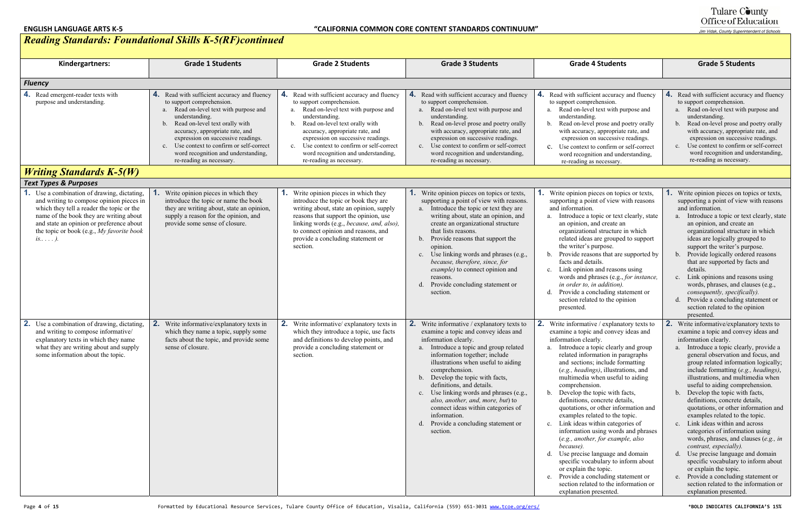# *Reading Standards: Foundational Skills K-5(RF)continued*

| Kindergartners:                                                                                                                                                                                                                                                                                                             | <b>Grade 1 Students</b>                                                                                                                                                                                                                                                                                                                                                  | <b>Grade 2 Students</b>                                                                                                                                                                                                                                                                                                                                                           | <b>Grade 3 Students</b>                                                                                                                                                                                                                                                                                                                                                                                                                                                                              | <b>Grade 4 Students</b>                                                                                                                                                                                                                                                                                                                                                                                                                                                                                                                                                                                                                                                                                                                                                                                                               | <b>Grade 5 Students</b>                                                                                                                                                                                                                                                                                                                                                                                                                                                                                                                                                                                                                                                                                                                                                                                                                                                |  |
|-----------------------------------------------------------------------------------------------------------------------------------------------------------------------------------------------------------------------------------------------------------------------------------------------------------------------------|--------------------------------------------------------------------------------------------------------------------------------------------------------------------------------------------------------------------------------------------------------------------------------------------------------------------------------------------------------------------------|-----------------------------------------------------------------------------------------------------------------------------------------------------------------------------------------------------------------------------------------------------------------------------------------------------------------------------------------------------------------------------------|------------------------------------------------------------------------------------------------------------------------------------------------------------------------------------------------------------------------------------------------------------------------------------------------------------------------------------------------------------------------------------------------------------------------------------------------------------------------------------------------------|---------------------------------------------------------------------------------------------------------------------------------------------------------------------------------------------------------------------------------------------------------------------------------------------------------------------------------------------------------------------------------------------------------------------------------------------------------------------------------------------------------------------------------------------------------------------------------------------------------------------------------------------------------------------------------------------------------------------------------------------------------------------------------------------------------------------------------------|------------------------------------------------------------------------------------------------------------------------------------------------------------------------------------------------------------------------------------------------------------------------------------------------------------------------------------------------------------------------------------------------------------------------------------------------------------------------------------------------------------------------------------------------------------------------------------------------------------------------------------------------------------------------------------------------------------------------------------------------------------------------------------------------------------------------------------------------------------------------|--|
| <b>Fluency</b>                                                                                                                                                                                                                                                                                                              |                                                                                                                                                                                                                                                                                                                                                                          |                                                                                                                                                                                                                                                                                                                                                                                   |                                                                                                                                                                                                                                                                                                                                                                                                                                                                                                      |                                                                                                                                                                                                                                                                                                                                                                                                                                                                                                                                                                                                                                                                                                                                                                                                                                       |                                                                                                                                                                                                                                                                                                                                                                                                                                                                                                                                                                                                                                                                                                                                                                                                                                                                        |  |
| Read emergent-reader texts with<br>purpose and understanding.                                                                                                                                                                                                                                                               | 4. Read with sufficient accuracy and fluency<br>to support comprehension.<br>Read on-level text with purpose and<br>understanding.<br>b. Read on-level text orally with<br>accuracy, appropriate rate, and<br>expression on successive readings.<br>Use context to confirm or self-correct<br>$C_{-}$<br>word recognition and understanding,<br>re-reading as necessary. | Read with sufficient accuracy and fluency<br>to support comprehension.<br>Read on-level text with purpose and<br>understanding.<br>Read on-level text orally with<br>$b_{-}$<br>accuracy, appropriate rate, and<br>expression on successive readings.<br>Use context to confirm or self-correct<br>$c_{\cdot}$<br>word recognition and understanding,<br>re-reading as necessary. | 4. Read with sufficient accuracy and fluency<br>to support comprehension.<br>a. Read on-level text with purpose and<br>understanding.<br>b. Read on-level prose and poetry orally<br>with accuracy, appropriate rate, and<br>expression on successive readings.<br>c. Use context to confirm or self-correct<br>word recognition and understanding,<br>re-reading as necessary.                                                                                                                      | 4. Read with sufficient accuracy and fluency<br>to support comprehension.<br>Read on-level text with purpose and<br>understanding.<br>Read on-level prose and poetry orally<br>b.<br>with accuracy, appropriate rate, and<br>expression on successive readings.<br>c. Use context to confirm or self-correct<br>word recognition and understanding,<br>re-reading as necessary.                                                                                                                                                                                                                                                                                                                                                                                                                                                       | 4. Read with sufficient accuracy and fluency<br>to support comprehension.<br>Read on-level text with purpose and<br>understanding.<br>Read on-level prose and poetry orally<br>with accuracy, appropriate rate, and<br>expression on successive readings.<br>Use context to confirm or self-correct<br>word recognition and understanding,<br>re-reading as necessary.                                                                                                                                                                                                                                                                                                                                                                                                                                                                                                 |  |
| <b>Writing Standards K-5(W)</b>                                                                                                                                                                                                                                                                                             |                                                                                                                                                                                                                                                                                                                                                                          |                                                                                                                                                                                                                                                                                                                                                                                   |                                                                                                                                                                                                                                                                                                                                                                                                                                                                                                      |                                                                                                                                                                                                                                                                                                                                                                                                                                                                                                                                                                                                                                                                                                                                                                                                                                       |                                                                                                                                                                                                                                                                                                                                                                                                                                                                                                                                                                                                                                                                                                                                                                                                                                                                        |  |
| <b>Text Types &amp; Purposes</b><br>Use a combination of drawing, dictating,<br>and writing to compose opinion pieces in<br>which they tell a reader the topic or the<br>name of the book they are writing about<br>and state an opinion or preference about<br>the topic or book (e.g., $My$ favorite book<br><i>is</i> ). | Write opinion pieces in which they<br>introduce the topic or name the book<br>they are writing about, state an opinion,<br>supply a reason for the opinion, and<br>provide some sense of closure.                                                                                                                                                                        | Write opinion pieces in which they<br>introduce the topic or book they are<br>writing about, state an opinion, supply<br>reasons that support the opinion, use<br>linking words (e.g., because, and, also),<br>to connect opinion and reasons, and<br>provide a concluding statement or<br>section.                                                                               | Write opinion pieces on topics or texts,<br>supporting a point of view with reasons.<br>a. Introduce the topic or text they are<br>writing about, state an opinion, and<br>create an organizational structure<br>that lists reasons.<br>b. Provide reasons that support the<br>opinion.<br>c. Use linking words and phrases (e.g.,<br>because, therefore, since, for<br>example) to connect opinion and<br>reasons.<br>Provide concluding statement or<br>section.                                   | Write opinion pieces on topics or texts,<br>supporting a point of view with reasons<br>and information.<br>Introduce a topic or text clearly, state<br>a.<br>an opinion, and create an<br>organizational structure in which<br>related ideas are grouped to support<br>the writer's purpose.<br>b. Provide reasons that are supported by<br>facts and details.<br>c. Link opinion and reasons using<br>words and phrases (e.g., for instance,<br>in order to, in addition).<br>Provide a concluding statement or<br>d.<br>section related to the opinion<br>presented.                                                                                                                                                                                                                                                                | Write opinion pieces on topics or texts,<br>supporting a point of view with reasons<br>and information.<br>Introduce a topic or text clearly, state<br>an opinion, and create an<br>organizational structure in which<br>ideas are logically grouped to<br>support the writer's purpose.<br>Provide logically ordered reasons<br>that are supported by facts and<br>details.<br>Link opinions and reasons using<br>C.<br>words, phrases, and clauses (e.g.,<br>consequently, specifically).<br>Provide a concluding statement or<br>section related to the opinion<br>presented.                                                                                                                                                                                                                                                                                       |  |
| 2.<br>Use a combination of drawing, dictating,<br>and writing to compose informative/<br>explanatory texts in which they name<br>what they are writing about and supply<br>some information about the topic.                                                                                                                | 2. Write informative/explanatory texts in<br>which they name a topic, supply some<br>facts about the topic, and provide some<br>sense of closure.                                                                                                                                                                                                                        | 2.<br>Write informative/explanatory texts in<br>which they introduce a topic, use facts<br>and definitions to develop points, and<br>provide a concluding statement or<br>section.                                                                                                                                                                                                | Write informative / explanatory texts to<br>examine a topic and convey ideas and<br>information clearly.<br>a. Introduce a topic and group related<br>information together; include<br>illustrations when useful to aiding<br>comprehension.<br>b. Develop the topic with facts,<br>definitions, and details.<br>c. Use linking words and phrases (e.g.,<br>also, another, and, more, but) to<br>connect ideas within categories of<br>information.<br>Provide a concluding statement or<br>section. | 2.<br>Write informative / explanatory texts to<br>examine a topic and convey ideas and<br>information clearly.<br>a. Introduce a topic clearly and group<br>related information in paragraphs<br>and sections; include formatting<br>(e.g., headings), illustrations, and<br>multimedia when useful to aiding<br>comprehension.<br>b. Develop the topic with facts,<br>definitions, concrete details,<br>quotations, or other information and<br>examples related to the topic.<br>c. Link ideas within categories of<br>information using words and phrases<br>(e.g., another, for example, also<br>because).<br>Use precise language and domain<br>d.<br>specific vocabulary to inform about<br>or explain the topic.<br>Provide a concluding statement or<br>e.<br>section related to the information or<br>explanation presented. | 2.<br>Write informative/explanatory texts to<br>examine a topic and convey ideas and<br>information clearly.<br>a. Introduce a topic clearly, provide a<br>general observation and focus, and<br>group related information logically;<br>include formatting (e.g., headings),<br>illustrations, and multimedia when<br>useful to aiding comprehension.<br>Develop the topic with facts,<br>definitions, concrete details,<br>quotations, or other information and<br>examples related to the topic.<br>Link ideas within and across<br>$\mathbf{c}$ .<br>categories of information using<br>words, phrases, and clauses (e.g., in<br>contrast, especially).<br>Use precise language and domain<br>specific vocabulary to inform about<br>or explain the topic.<br>Provide a concluding statement or<br>section related to the information or<br>explanation presented. |  |

# Tulare County<br>Office of Education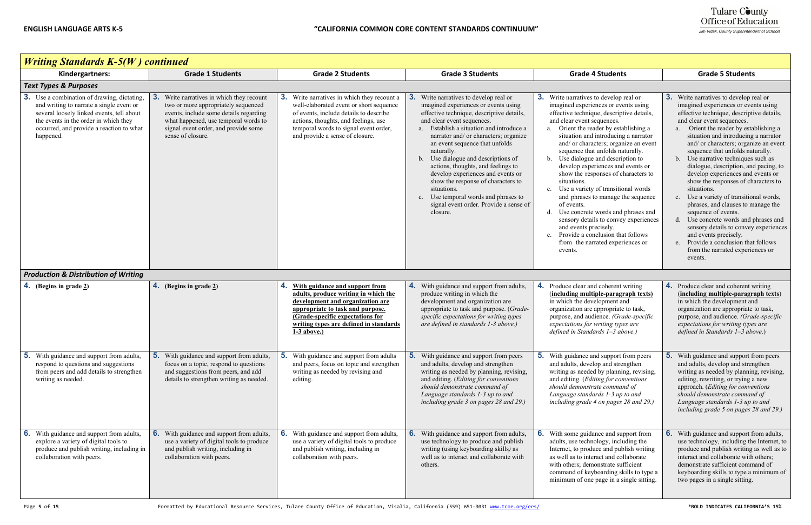# Tulare County<br>Office of Education

Jim Vidak, County Superintendent of Schools

## *Writing Standards K-5(W ) continued*

| <i>Writing Standards K-5(W) continued</i>                                                                                                                                                                                                     |                                                                                                                                                                                                                              |                                                                                                                                                                                                                                                         |                                                                                                                                                                                                                                                                                                                                                                                                                                                                                                                                                               |                                                                                                                                                                                                                                                                                                                                                                                                                                                                                                                                                                                                                                                                                                                                                                                       |                                                                                                                                                                                                                                                                                                                                                                                                                                                                                                                                                                                                                                                                                                                                                                                                       |  |  |
|-----------------------------------------------------------------------------------------------------------------------------------------------------------------------------------------------------------------------------------------------|------------------------------------------------------------------------------------------------------------------------------------------------------------------------------------------------------------------------------|---------------------------------------------------------------------------------------------------------------------------------------------------------------------------------------------------------------------------------------------------------|---------------------------------------------------------------------------------------------------------------------------------------------------------------------------------------------------------------------------------------------------------------------------------------------------------------------------------------------------------------------------------------------------------------------------------------------------------------------------------------------------------------------------------------------------------------|---------------------------------------------------------------------------------------------------------------------------------------------------------------------------------------------------------------------------------------------------------------------------------------------------------------------------------------------------------------------------------------------------------------------------------------------------------------------------------------------------------------------------------------------------------------------------------------------------------------------------------------------------------------------------------------------------------------------------------------------------------------------------------------|-------------------------------------------------------------------------------------------------------------------------------------------------------------------------------------------------------------------------------------------------------------------------------------------------------------------------------------------------------------------------------------------------------------------------------------------------------------------------------------------------------------------------------------------------------------------------------------------------------------------------------------------------------------------------------------------------------------------------------------------------------------------------------------------------------|--|--|
| Kindergartners:                                                                                                                                                                                                                               | <b>Grade 1 Students</b>                                                                                                                                                                                                      | <b>Grade 2 Students</b>                                                                                                                                                                                                                                 | <b>Grade 3 Students</b>                                                                                                                                                                                                                                                                                                                                                                                                                                                                                                                                       | <b>Grade 4 Students</b>                                                                                                                                                                                                                                                                                                                                                                                                                                                                                                                                                                                                                                                                                                                                                               | <b>Grade 5 Students</b>                                                                                                                                                                                                                                                                                                                                                                                                                                                                                                                                                                                                                                                                                                                                                                               |  |  |
| <b>Text Types &amp; Purposes</b>                                                                                                                                                                                                              |                                                                                                                                                                                                                              |                                                                                                                                                                                                                                                         |                                                                                                                                                                                                                                                                                                                                                                                                                                                                                                                                                               |                                                                                                                                                                                                                                                                                                                                                                                                                                                                                                                                                                                                                                                                                                                                                                                       |                                                                                                                                                                                                                                                                                                                                                                                                                                                                                                                                                                                                                                                                                                                                                                                                       |  |  |
| <b>3.</b> Use a combination of drawing, dictating,<br>and writing to narrate a single event or<br>several loosely linked events, tell about<br>the events in the order in which they<br>occurred, and provide a reaction to what<br>happened. | Write narratives in which they recount<br>two or more appropriately sequenced<br>events, include some details regarding<br>what happened, use temporal words to<br>signal event order, and provide some<br>sense of closure. | 3.<br>Write narratives in which they recount a<br>well-elaborated event or short sequence<br>of events, include details to describe<br>actions, thoughts, and feelings, use<br>temporal words to signal event order,<br>and provide a sense of closure. | Write narratives to develop real or<br>imagined experiences or events using<br>effective technique, descriptive details,<br>and clear event sequences.<br>a. Establish a situation and introduce a<br>narrator and/ or characters; organize<br>an event sequence that unfolds<br>naturally.<br>Use dialogue and descriptions of<br>actions, thoughts, and feelings to<br>develop experiences and events or<br>show the response of characters to<br>situations.<br>c. Use temporal words and phrases to<br>signal event order. Provide a sense of<br>closure. | <b>3.</b> Write narratives to develop real or<br>imagined experiences or events using<br>effective technique, descriptive details,<br>and clear event sequences.<br>Orient the reader by establishing a<br>a.<br>situation and introducing a narrator<br>and/ or characters; organize an event<br>sequence that unfolds naturally.<br>b. Use dialogue and description to<br>develop experiences and events or<br>show the responses of characters to<br>situations.<br>Use a variety of transitional words<br>$c_{\cdot}$<br>and phrases to manage the sequence<br>of events.<br>Use concrete words and phrases and<br>d.<br>sensory details to convey experiences<br>and events precisely.<br>Provide a conclusion that follows<br>e.<br>from the narrated experiences or<br>events. | <b>3.</b> Write narratives to develop real or<br>imagined experiences or events using<br>effective technique, descriptive details,<br>and clear event sequences.<br>Orient the reader by establishing a<br>situation and introducing a narrator<br>and/ or characters; organize an event<br>sequence that unfolds naturally.<br>Use narrative techniques such as<br>dialogue, description, and pacing, to<br>develop experiences and events or<br>show the responses of characters to<br>situations.<br>Use a variety of transitional words,<br>phrases, and clauses to manage the<br>sequence of events.<br>Use concrete words and phrases and<br>sensory details to convey experiences<br>and events precisely.<br>Provide a conclusion that follows<br>from the narrated experiences or<br>events. |  |  |
| <b>Production &amp; Distribution of Writing</b><br>4. (Begins in grade 2)                                                                                                                                                                     | 4. (Begins in grade 2)                                                                                                                                                                                                       | With guidance and support from<br>4.<br>adults, produce writing in which the<br>development and organization are<br>appropriate to task and purpose.<br>(Grade-specific expectations for<br>writing types are defined in standards<br>$1-3$ above.)     | <b>4.</b> With guidance and support from adults,<br>produce writing in which the<br>development and organization are<br>appropriate to task and purpose. (Grade-<br>specific expectations for writing types<br>are defined in standards 1-3 above.)                                                                                                                                                                                                                                                                                                           | 4. Produce clear and coherent writing<br>(including multiple-paragraph texts)<br>in which the development and<br>organization are appropriate to task,<br>purpose, and audience. (Grade-specific<br>expectations for writing types are<br>defined in Standards 1-3 above.)                                                                                                                                                                                                                                                                                                                                                                                                                                                                                                            | 4. Produce clear and coherent writing<br>(including multiple-paragraph texts)<br>in which the development and<br>organization are appropriate to task,<br>purpose, and audience. (Grade-specific<br>expectations for writing types are<br>defined in Standards $1-3$ above.)                                                                                                                                                                                                                                                                                                                                                                                                                                                                                                                          |  |  |
| 5.<br>With guidance and support from adults,<br>respond to questions and suggestions<br>from peers and add details to strengthen<br>writing as needed.                                                                                        | 5 <sub>1</sub><br>With guidance and support from adults,<br>focus on a topic, respond to questions<br>and suggestions from peers, and add<br>details to strengthen writing as needed.                                        | With guidance and support from adults<br>and peers, focus on topic and strengthen<br>writing as needed by revising and<br>editing.                                                                                                                      | 5.<br>With guidance and support from peers<br>and adults, develop and strengthen<br>writing as needed by planning, revising,<br>and editing. (Editing for conventions<br>should demonstrate command of<br>Language standards 1-3 up to and<br>including grade 3 on pages 28 and 29.)                                                                                                                                                                                                                                                                          | 5.<br>With guidance and support from peers<br>and adults, develop and strengthen<br>writing as needed by planning, revising,<br>and editing. (Editing for conventions<br>should demonstrate command of<br>Language standards 1-3 up to and<br>including grade 4 on pages 28 and 29.)                                                                                                                                                                                                                                                                                                                                                                                                                                                                                                  | With guidance and support from peers<br>and adults, develop and strengthen<br>writing as needed by planning, revising,<br>editing, rewriting, or trying a new<br>approach. (Editing for conventions<br>should demonstrate command of<br>Language standards 1-3 up to and<br>including grade 5 on pages 28 and 29.)                                                                                                                                                                                                                                                                                                                                                                                                                                                                                    |  |  |
| 6.<br>With guidance and support from adults,<br>explore a variety of digital tools to<br>produce and publish writing, including in<br>collaboration with peers.                                                                               | <b>6.</b> With guidance and support from adults,<br>use a variety of digital tools to produce<br>and publish writing, including in<br>collaboration with peers.                                                              | With guidance and support from adults,<br>use a variety of digital tools to produce<br>and publish writing, including in<br>collaboration with peers.                                                                                                   | <b>6.</b> With guidance and support from adults,<br>use technology to produce and publish<br>writing (using keyboarding skills) as<br>well as to interact and collaborate with<br>others.                                                                                                                                                                                                                                                                                                                                                                     | <b>6.</b> With some guidance and support from<br>adults, use technology, including the<br>Internet, to produce and publish writing<br>as well as to interact and collaborate<br>with others; demonstrate sufficient<br>command of keyboarding skills to type a<br>minimum of one page in a single sitting.                                                                                                                                                                                                                                                                                                                                                                                                                                                                            | With guidance and support from adults,<br>use technology, including the Internet, to<br>produce and publish writing as well as to<br>interact and collaborate with others;<br>demonstrate sufficient command of<br>keyboarding skills to type a minimum of<br>two pages in a single sitting.                                                                                                                                                                                                                                                                                                                                                                                                                                                                                                          |  |  |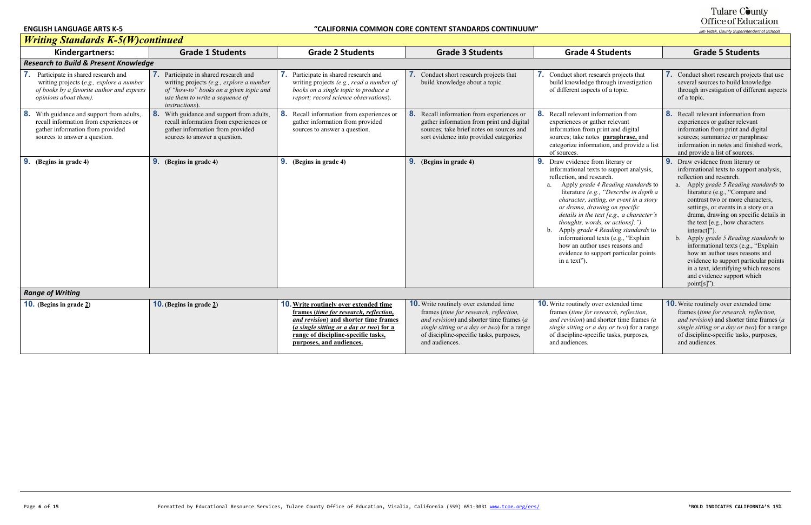#### **LANGUAGE ARTS K‐5 "CALIFORNIA COMMON CORE CONTENT STANDARDS CONTINUUM"**

| <b>Writing Standards K-5(W) continued</b>                                                                                                                   |                                                                                                                                                                                          |                                                                                                                                                                                                                                                 |                                                                                                                                                                                                                                                 |                                                                                                                                                                                                                                                                                                                                                                                                                                                                                                                                                        |                                                                                                                                                                                                                                                                                                                                                                                                                                                                                                                                                                                                                   |  |  |
|-------------------------------------------------------------------------------------------------------------------------------------------------------------|------------------------------------------------------------------------------------------------------------------------------------------------------------------------------------------|-------------------------------------------------------------------------------------------------------------------------------------------------------------------------------------------------------------------------------------------------|-------------------------------------------------------------------------------------------------------------------------------------------------------------------------------------------------------------------------------------------------|--------------------------------------------------------------------------------------------------------------------------------------------------------------------------------------------------------------------------------------------------------------------------------------------------------------------------------------------------------------------------------------------------------------------------------------------------------------------------------------------------------------------------------------------------------|-------------------------------------------------------------------------------------------------------------------------------------------------------------------------------------------------------------------------------------------------------------------------------------------------------------------------------------------------------------------------------------------------------------------------------------------------------------------------------------------------------------------------------------------------------------------------------------------------------------------|--|--|
| Kindergartners:                                                                                                                                             | <b>Grade 1 Students</b>                                                                                                                                                                  | <b>Grade 2 Students</b>                                                                                                                                                                                                                         | <b>Grade 3 Students</b>                                                                                                                                                                                                                         | <b>Grade 4 Students</b>                                                                                                                                                                                                                                                                                                                                                                                                                                                                                                                                | <b>Grade 5 Students</b>                                                                                                                                                                                                                                                                                                                                                                                                                                                                                                                                                                                           |  |  |
| <b>Research to Build &amp; Present Knowledge</b>                                                                                                            |                                                                                                                                                                                          |                                                                                                                                                                                                                                                 |                                                                                                                                                                                                                                                 |                                                                                                                                                                                                                                                                                                                                                                                                                                                                                                                                                        |                                                                                                                                                                                                                                                                                                                                                                                                                                                                                                                                                                                                                   |  |  |
| Participate in shared research and<br>writing projects (e.g., explore a number<br>of books by a favorite author and express<br>opinions about them).        | 7. Participate in shared research and<br>writing projects (e.g., explore a number<br>of "how-to" books on a given topic and<br>use them to write a sequence of<br><i>instructions</i> ). | Participate in shared research and<br>writing projects (e.g., read a number of<br>books on a single topic to produce a<br>report; record science observations).                                                                                 | <b>7.</b> Conduct short research projects that<br>build knowledge about a topic.                                                                                                                                                                | <b>7.</b> Conduct short research projects that<br>build knowledge through investigation<br>of different aspects of a topic.                                                                                                                                                                                                                                                                                                                                                                                                                            | <b>7.</b> Conduct short research projects that use<br>several sources to build knowledge<br>through investigation of different aspects<br>of a topic.                                                                                                                                                                                                                                                                                                                                                                                                                                                             |  |  |
| With guidance and support from adults,<br>8.<br>recall information from experiences or<br>gather information from provided<br>sources to answer a question. | 8. With guidance and support from adults,<br>recall information from experiences or<br>gather information from provided<br>sources to answer a question.                                 | Recall information from experiences or<br>8.<br>gather information from provided<br>sources to answer a question.                                                                                                                               | <b>8.</b> Recall information from experiences or<br>gather information from print and digital<br>sources; take brief notes on sources and<br>sort evidence into provided categories                                                             | 8. Recall relevant information from<br>experiences or gather relevant<br>information from print and digital<br>sources; take notes paraphrase, and<br>categorize information, and provide a list<br>of sources.                                                                                                                                                                                                                                                                                                                                        | <b>8.</b> Recall relevant information from<br>experiences or gather relevant<br>information from print and digital<br>sources; summarize or paraphrase<br>information in notes and finished work,<br>and provide a list of sources.                                                                                                                                                                                                                                                                                                                                                                               |  |  |
| 9.<br>(Begins in grade 4)                                                                                                                                   | <b>9.</b> (Begins in grade 4)                                                                                                                                                            | 9. (Begins in grade 4)                                                                                                                                                                                                                          | <b>9.</b> (Begins in grade 4)                                                                                                                                                                                                                   | <b>9.</b> Draw evidence from literary or<br>informational texts to support analysis,<br>reflection, and research.<br>Apply grade 4 Reading standards to<br>literature (e.g., "Describe in depth a<br>character, setting, or event in a story<br>or drama, drawing on specific<br>details in the text $[e.g., a character's$<br>thoughts, words, or actions].")<br>Apply grade 4 Reading standards to<br>$b_{\cdot}$<br>informational texts (e.g., "Explain"<br>how an author uses reasons and<br>evidence to support particular points<br>in a text"). | <b>9.</b> Draw evidence from literary or<br>informational texts to support analysis,<br>reflection and research.<br>Apply grade 5 Reading standards to<br>literature (e.g., "Compare and<br>contrast two or more characters,<br>settings, or events in a story or a<br>drama, drawing on specific details in<br>the text [e.g., how characters<br>interact]").<br>b. Apply grade 5 Reading standards to<br>informational texts (e.g., "Explain<br>how an author uses reasons and<br>evidence to support particular points<br>in a text, identifying which reasons<br>and evidence support which<br>$point[s]$ "). |  |  |
| <b>Range of Writing</b>                                                                                                                                     |                                                                                                                                                                                          |                                                                                                                                                                                                                                                 |                                                                                                                                                                                                                                                 |                                                                                                                                                                                                                                                                                                                                                                                                                                                                                                                                                        |                                                                                                                                                                                                                                                                                                                                                                                                                                                                                                                                                                                                                   |  |  |
| <b>10.</b> (Begins in grade 2)                                                                                                                              | <b>10.</b> (Begins in grade 2)                                                                                                                                                           | <b>10.</b> Write routinely over extended time<br>frames (time for research, reflection,<br>and revision) and shorter time frames<br>(a single sitting or a day or two) for a<br>range of discipline-specific tasks,<br>purposes, and audiences. | <b>10.</b> Write routinely over extended time<br>frames (time for research, reflection,<br>and revision) and shorter time frames (a<br>single sitting or a day or two) for a range<br>of discipline-specific tasks, purposes,<br>and audiences. | <b>10.</b> Write routinely over extended time<br>frames (time for research, reflection,<br>and revision) and shorter time frames (a<br>single sitting or a day or two) for a range<br>of discipline-specific tasks, purposes,<br>and audiences.                                                                                                                                                                                                                                                                                                        | <b>10.</b> Write routinely over extended time<br>frames (time for research, reflection,<br>and revision) and shorter time frames (a<br>single sitting or a day or two) for a range<br>of discipline-specific tasks, purposes,<br>and audiences.                                                                                                                                                                                                                                                                                                                                                                   |  |  |

# Tulare County<br>Office of Education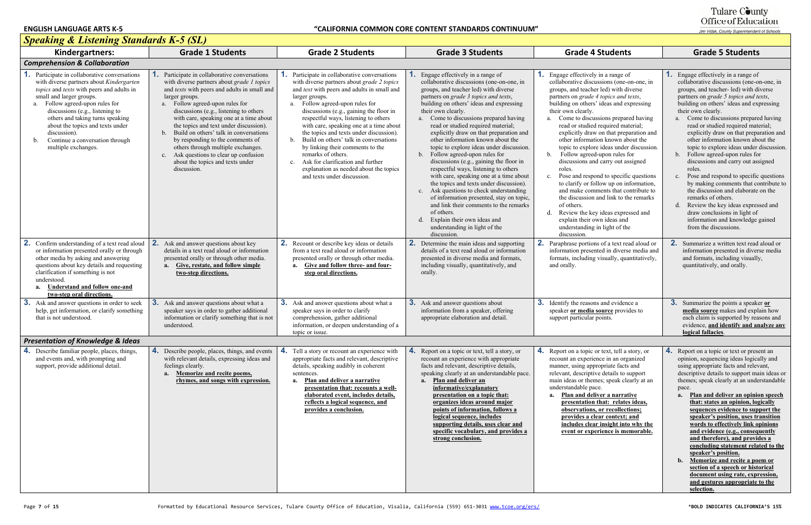#### **LANGUAGE ARTS K‐5 "CALIFORNIA COMMON CORE CONTENT STANDARDS CONTINUUM"**

# Tulare County<br>Office of Education

Jim Vidak, County Superintendent of Schools

## *Speaking & Listening Standards K-5 (SL)*

| Kindergartners:                                                                                                                                                                                                                                                                                                                                                                      | <b>Grade 1 Students</b>                                                                                                                                                                                                                                                                                                                                                                                                                                                                                                                                            | <b>Grade 2 Students</b>                                                                                                                                                                                                                                                                                                                                                                                                                                                                                                                                                                                      | <b>Grade 3 Students</b>                                                                                                                                                                                                                                                                                                                                                                                                                                                                                                                                                                                                                                                                                                                                                                                                                                                                                                  | <b>Grade 4 Students</b>                                                                                                                                                                                                                                                                                                                                                                                                                                                                                                                                                                                                                                                                                                                                                                                                                                      | <b>Grade 5 Students</b>                                                                                                                                                                                                                                                                                                                                                                                                                                                                                                                                                                                                                                                                                                                        |
|--------------------------------------------------------------------------------------------------------------------------------------------------------------------------------------------------------------------------------------------------------------------------------------------------------------------------------------------------------------------------------------|--------------------------------------------------------------------------------------------------------------------------------------------------------------------------------------------------------------------------------------------------------------------------------------------------------------------------------------------------------------------------------------------------------------------------------------------------------------------------------------------------------------------------------------------------------------------|--------------------------------------------------------------------------------------------------------------------------------------------------------------------------------------------------------------------------------------------------------------------------------------------------------------------------------------------------------------------------------------------------------------------------------------------------------------------------------------------------------------------------------------------------------------------------------------------------------------|--------------------------------------------------------------------------------------------------------------------------------------------------------------------------------------------------------------------------------------------------------------------------------------------------------------------------------------------------------------------------------------------------------------------------------------------------------------------------------------------------------------------------------------------------------------------------------------------------------------------------------------------------------------------------------------------------------------------------------------------------------------------------------------------------------------------------------------------------------------------------------------------------------------------------|--------------------------------------------------------------------------------------------------------------------------------------------------------------------------------------------------------------------------------------------------------------------------------------------------------------------------------------------------------------------------------------------------------------------------------------------------------------------------------------------------------------------------------------------------------------------------------------------------------------------------------------------------------------------------------------------------------------------------------------------------------------------------------------------------------------------------------------------------------------|------------------------------------------------------------------------------------------------------------------------------------------------------------------------------------------------------------------------------------------------------------------------------------------------------------------------------------------------------------------------------------------------------------------------------------------------------------------------------------------------------------------------------------------------------------------------------------------------------------------------------------------------------------------------------------------------------------------------------------------------|
| <b>Comprehension &amp; Collaboration</b>                                                                                                                                                                                                                                                                                                                                             |                                                                                                                                                                                                                                                                                                                                                                                                                                                                                                                                                                    |                                                                                                                                                                                                                                                                                                                                                                                                                                                                                                                                                                                                              |                                                                                                                                                                                                                                                                                                                                                                                                                                                                                                                                                                                                                                                                                                                                                                                                                                                                                                                          |                                                                                                                                                                                                                                                                                                                                                                                                                                                                                                                                                                                                                                                                                                                                                                                                                                                              |                                                                                                                                                                                                                                                                                                                                                                                                                                                                                                                                                                                                                                                                                                                                                |
| Participate in collaborative conversations<br>with diverse partners about Kindergarten<br>topics and texts with peers and adults in<br>small and larger groups.<br>Follow agreed-upon rules for<br>discussions (e.g., listening to<br>others and taking turns speaking<br>about the topics and texts under<br>discussion).<br>Continue a conversation through<br>multiple exchanges. | Participate in collaborative conversations<br>with diverse partners about grade 1 topics<br>and texts with peers and adults in small and<br>larger groups.<br>a. Follow agreed-upon rules for<br>discussions (e.g., listening to others<br>with care, speaking one at a time about<br>the topics and text under discussion).<br>Build on others' talk in conversations<br>b.<br>by responding to the comments of<br>others through multiple exchanges.<br>Ask questions to clear up confusion<br>$\mathbf{c}$ .<br>about the topics and texts under<br>discussion. | Participate in collaborative conversations<br>with diverse partners about grade 2 topics<br>and text with peers and adults in small and<br>larger groups.<br>Follow agreed-upon rules for<br>a.<br>discussions (e.g., gaining the floor in<br>respectful ways, listening to others<br>with care, speaking one at a time about<br>the topics and texts under discussion).<br>Build on others' talk in conversations<br>by linking their comments to the<br>remarks of others.<br>Ask for clarification and further<br>C <sub>1</sub><br>explanation as needed about the topics<br>and texts under discussion. | Engage effectively in a range of<br>collaborative discussions (one-on-one, in<br>groups, and teacher led) with diverse<br>partners on grade 3 topics and texts,<br>building on others' ideas and expressing<br>their own clearly.<br>a. Come to discussions prepared having<br>read or studied required material;<br>explicitly draw on that preparation and<br>other information known about the<br>topic to explore ideas under discussion.<br>Follow agreed-upon rules for<br>b.<br>discussions (e.g., gaining the floor in<br>respectful ways, listening to others<br>with care, speaking one at a time about<br>the topics and texts under discussion).<br>Ask questions to check understanding<br>C <sub>1</sub><br>of information presented, stay on topic,<br>and link their comments to the remarks<br>of others.<br>Explain their own ideas and<br>$d_{\cdot}$<br>understanding in light of the<br>discussion. | Engage effectively in a range of<br>collaborative discussions (one-on-one, in<br>groups, and teacher led) with diverse<br>partners on grade 4 topics and texts,<br>building on others' ideas and expressing<br>their own clearly.<br>Come to discussions prepared having<br>a.<br>read or studied required material;<br>explicitly draw on that preparation and<br>other information known about the<br>topic to explore ideas under discussion.<br>Follow agreed-upon rules for<br>$\mathbf{b}$ .<br>discussions and carry out assigned<br>roles.<br>Pose and respond to specific questions<br>to clarify or follow up on information,<br>and make comments that contribute to<br>the discussion and link to the remarks<br>of others.<br>Review the key ideas expressed and<br>explain their own ideas and<br>understanding in light of the<br>discussion. | Engage effectively in a range of<br>collaborative discussions (one-o<br>groups, and teacher-led) with di<br>partners on grade 5 topics and to<br>building on others' ideas and ex-<br>their own clearly.<br>Come to discussions prepare<br>a.<br>read or studied required mate<br>explicitly draw on that prepa<br>other information known abo<br>topic to explore ideas under<br>Follow agreed-upon rules fo<br>$\mathbf{b}$ .<br>discussions and carry out ass<br>roles.<br>Pose and respond to specific<br>$\mathbf{c}$ .<br>by making comments that co<br>the discussion and elaborate<br>remarks of others.<br>Review the key ideas expres<br>$d$ .<br>draw conclusions in light of<br>information and knowledge<br>from the discussions. |
| $\mathbf{2}$<br>Confirm understanding of a text read aloud<br>or information presented orally or through<br>other media by asking and answering<br>questions about key details and requesting<br>clarification if something is not<br>understood.<br>Understand and follow one-and<br>two-step oral directions.                                                                      | Ask and answer questions about key<br>details in a text read aloud or information<br>presented orally or through other media.<br>a. Give, restate, and follow simple<br>two-step directions.                                                                                                                                                                                                                                                                                                                                                                       | 2.<br>Recount or describe key ideas or details<br>from a text read aloud or information<br>presented orally or through other media.<br>Give and follow three- and four-<br>step oral directions.                                                                                                                                                                                                                                                                                                                                                                                                             | 2.<br>Determine the main ideas and supporting<br>details of a text read aloud or information<br>presented in diverse media and formats,<br>including visually, quantitatively, and<br>orally.                                                                                                                                                                                                                                                                                                                                                                                                                                                                                                                                                                                                                                                                                                                            | 2.<br>Paraphrase portions of a text read aloud or<br>information presented in diverse media and<br>formats, including visually, quantitatively,<br>and orally.                                                                                                                                                                                                                                                                                                                                                                                                                                                                                                                                                                                                                                                                                               | <b>2.</b> Summarize a written text read<br>information presented in diver<br>and formats, including visually<br>quantitatively, and orally.                                                                                                                                                                                                                                                                                                                                                                                                                                                                                                                                                                                                    |
| 3.<br>Ask and answer questions in order to seek<br>help, get information, or clarify something<br>that is not understood.                                                                                                                                                                                                                                                            | Ask and answer questions about what a<br>speaker says in order to gather additional<br>information or clarify something that is not<br>understood.                                                                                                                                                                                                                                                                                                                                                                                                                 | 3.<br>Ask and answer questions about what a<br>speaker says in order to clarify<br>comprehension, gather additional<br>information, or deepen understanding of a<br>topic or issue.                                                                                                                                                                                                                                                                                                                                                                                                                          | 3.<br>Ask and answer questions about<br>information from a speaker, offering<br>appropriate elaboration and detail.                                                                                                                                                                                                                                                                                                                                                                                                                                                                                                                                                                                                                                                                                                                                                                                                      | 3 <sub>1</sub><br>Identify the reasons and evidence a<br>speaker or media source provides to<br>support particular points.                                                                                                                                                                                                                                                                                                                                                                                                                                                                                                                                                                                                                                                                                                                                   | <b>3.</b> Summarize the points a speake<br>media source makes and expl<br>each claim is supported by rea<br>evidence, and identify and an<br>logical fallacies.                                                                                                                                                                                                                                                                                                                                                                                                                                                                                                                                                                                |
| <b>Presentation of Knowledge &amp; Ideas</b>                                                                                                                                                                                                                                                                                                                                         |                                                                                                                                                                                                                                                                                                                                                                                                                                                                                                                                                                    |                                                                                                                                                                                                                                                                                                                                                                                                                                                                                                                                                                                                              |                                                                                                                                                                                                                                                                                                                                                                                                                                                                                                                                                                                                                                                                                                                                                                                                                                                                                                                          |                                                                                                                                                                                                                                                                                                                                                                                                                                                                                                                                                                                                                                                                                                                                                                                                                                                              |                                                                                                                                                                                                                                                                                                                                                                                                                                                                                                                                                                                                                                                                                                                                                |
| 4. Describe familiar people, places, things,<br>and events and, with prompting and<br>support, provide additional detail.                                                                                                                                                                                                                                                            | <b>4.</b> Describe people, places, things, and events<br>with relevant details, expressing ideas and<br>feelings clearly.<br>a. Memorize and recite poems.<br>rhymes, and songs with expression.                                                                                                                                                                                                                                                                                                                                                                   | 4. Tell a story or recount an experience with<br>appropriate facts and relevant, descriptive<br>details, speaking audibly in coherent<br>sentences.<br>Plan and deliver a narrative<br>presentation that: recounts a well-<br>elaborated event, includes details,<br>reflects a logical sequence, and<br>provides a conclusion.                                                                                                                                                                                                                                                                              | Report on a topic or text, tell a story, or<br>recount an experience with appropriate<br>facts and relevant, descriptive details,<br>speaking clearly at an understandable pace.<br>a. Plan and deliver an<br>informative/explanatory<br>presentation on a topic that:<br>organizes ideas around major<br>points of information, follows a<br>logical sequence, includes<br>supporting details, uses clear and<br>specific vocabulary, and provides a<br>strong conclusion.                                                                                                                                                                                                                                                                                                                                                                                                                                              | 4. Report on a topic or text, tell a story, or<br>recount an experience in an organized<br>manner, using appropriate facts and<br>relevant, descriptive details to support<br>main ideas or themes; speak clearly at an<br>understandable pace.<br>a. Plan and deliver a narrative<br>presentation that: relates ideas,<br>observations, or recollections;<br>provides a clear context; and<br>includes clear insight into why the<br>event or experience is memorable.                                                                                                                                                                                                                                                                                                                                                                                      | 4. Report on a topic or text or prese<br>opinion, sequencing ideas logica<br>using appropriate facts and relev<br>descriptive details to support ma<br>themes; speak clearly at an unde<br>pace.<br>a. Plan and deliver an opinion<br>that: states an opinion, log<br>sequences evidence to sup<br>speaker's position, uses tr<br>words to effectively link o<br>and evidence (e.g., conseq<br>and therefore), and provid<br>concluding statement rela<br>speaker's position.<br>b. Memorize and recite a po-<br>section of a speech or hist<br>document using rate, expr<br>and gestures appropriate<br>selection.                                                                                                                            |

| 1.<br>2. | Engage effectively in a range of<br>collaborative discussions (one-on-one, in<br>groups, and teacher led) with diverse<br>partners on grade 4 topics and texts,<br>building on others' ideas and expressing<br>their own clearly.<br>Come to discussions prepared having<br>a.<br>read or studied required material;<br>explicitly draw on that preparation and<br>other information known about the<br>topic to explore ideas under discussion.<br>Follow agreed-upon rules for<br>$\mathbf{b}$ .<br>discussions and carry out assigned<br>roles.<br>Pose and respond to specific questions<br>$c_{\cdot}$<br>to clarify or follow up on information,<br>and make comments that contribute to<br>the discussion and link to the remarks<br>of others.<br>d.<br>Review the key ideas expressed and<br>explain their own ideas and<br>understanding in light of the<br>discussion.<br>Paraphrase portions of a text read aloud or<br>information presented in diverse media and<br>formats, including visually, quantitatively,<br>and orally. | <b>1.</b> Engage effectively in a range of<br>collaborative discussions (one-on-one, in<br>groups, and teacher-led) with diverse<br>partners on grade 5 topics and texts,<br>building on others' ideas and expressing<br>their own clearly.<br>Come to discussions prepared having<br>a.<br>read or studied required material;<br>explicitly draw on that preparation and<br>other information known about the<br>topic to explore ideas under discussion.<br>Follow agreed-upon rules for<br>b.<br>discussions and carry out assigned<br>roles.<br>Pose and respond to specific questions<br>$c_{\cdot}$<br>by making comments that contribute to<br>the discussion and elaborate on the<br>remarks of others.<br>d.<br>Review the key ideas expressed and<br>draw conclusions in light of<br>information and knowledge gained<br>from the discussions.<br>2.<br>Summarize a written text read aloud or<br>information presented in diverse media<br>and formats, including visually,<br>quantitatively, and orally. |
|----------|-----------------------------------------------------------------------------------------------------------------------------------------------------------------------------------------------------------------------------------------------------------------------------------------------------------------------------------------------------------------------------------------------------------------------------------------------------------------------------------------------------------------------------------------------------------------------------------------------------------------------------------------------------------------------------------------------------------------------------------------------------------------------------------------------------------------------------------------------------------------------------------------------------------------------------------------------------------------------------------------------------------------------------------------------|-----------------------------------------------------------------------------------------------------------------------------------------------------------------------------------------------------------------------------------------------------------------------------------------------------------------------------------------------------------------------------------------------------------------------------------------------------------------------------------------------------------------------------------------------------------------------------------------------------------------------------------------------------------------------------------------------------------------------------------------------------------------------------------------------------------------------------------------------------------------------------------------------------------------------------------------------------------------------------------------------------------------------|
| 3.       | Identify the reasons and evidence a<br>speaker or media source provides to<br>support particular points.                                                                                                                                                                                                                                                                                                                                                                                                                                                                                                                                                                                                                                                                                                                                                                                                                                                                                                                                      | 3.<br>Summarize the points a speaker or<br>media source makes and explain how<br>each claim is supported by reasons and<br>evidence, and identify and analyze any<br>logical fallacies.                                                                                                                                                                                                                                                                                                                                                                                                                                                                                                                                                                                                                                                                                                                                                                                                                               |
|          |                                                                                                                                                                                                                                                                                                                                                                                                                                                                                                                                                                                                                                                                                                                                                                                                                                                                                                                                                                                                                                               |                                                                                                                                                                                                                                                                                                                                                                                                                                                                                                                                                                                                                                                                                                                                                                                                                                                                                                                                                                                                                       |
| 4.       | Report on a topic or text, tell a story, or<br>recount an experience in an organized<br>manner, using appropriate facts and<br>relevant, descriptive details to support<br>main ideas or themes; speak clearly at an<br>understandable pace.<br>Plan and deliver a narrative<br>a.<br>presentation that: relates ideas,<br>observations, or recollections;<br>provides a clear context; and<br>includes clear insight into why the<br>event or experience is memorable.                                                                                                                                                                                                                                                                                                                                                                                                                                                                                                                                                                       | 4.<br>Report on a topic or text or present an<br>opinion, sequencing ideas logically and<br>using appropriate facts and relevant,<br>descriptive details to support main ideas or<br>themes; speak clearly at an understandable<br>pace.<br>Plan and deliver an opinion speech<br>a.<br>that: states an opinion, logically<br>sequences evidence to support the<br>speaker's position, uses transition<br>words to effectively link opinions<br>and evidence (e.g., consequently<br>and therefore), and provides a<br>concluding statement related to the<br>speaker's position.<br>Memorize and recite a poem or<br>b.<br>section of a speech or historical<br>document using rate, expression,<br>and gestures appropriate to the<br>selection.                                                                                                                                                                                                                                                                     |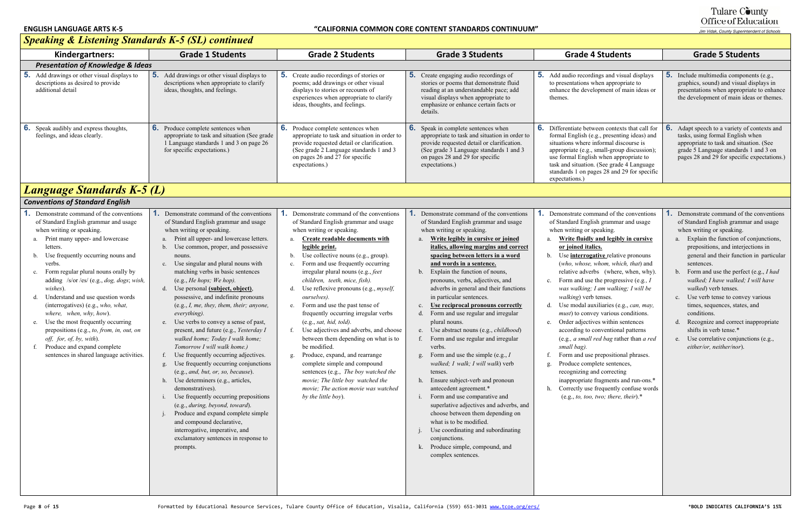#### **LANGUAGE ARTS K‐5 "CALIFORNIA COMMON CORE CONTENT STANDARDS CONTINUUM"**

# Tulare County<br>Office of Education

Jim Vidak, County Superintendent of Schools

## *Speaking & Listening Standards K-5 (SL) continued*

| Kindergartners:                                                                                                                                                                                                                                                                                                                                                                                                                                                                                                                                                                                                                                  | <b>Grade 1 Students</b>                                                                                                                                                                                                                                                                                                                                                                                                                                                                                                                                                                                                                                                                                                                                                                                                                                                                                                                                                                                                                                 | <b>Grade 2 Students</b>                                                                                                                                                                                                                                                                                                                                                                                                                                                                                                                                                                                                                                                                                                                                                                                                            | <b>Grade 3 Students</b>                                                                                                                                                                                                                                                                                                                                                                                                                                                                                                                                                                                                                                                                                                                                                                                                                                                                                                                                                                                                        | <b>Grade 4 Students</b>                                                                                                                                                                                                                                                                                                                                                                                                                                                                                                                                                                                                                                                                                                                                                                                                                                                                                     | <b>Grade 5 Students</b>                                                                                                                                                                                                                                                                                                                                                                                                                                                                                                                                                                       |
|--------------------------------------------------------------------------------------------------------------------------------------------------------------------------------------------------------------------------------------------------------------------------------------------------------------------------------------------------------------------------------------------------------------------------------------------------------------------------------------------------------------------------------------------------------------------------------------------------------------------------------------------------|---------------------------------------------------------------------------------------------------------------------------------------------------------------------------------------------------------------------------------------------------------------------------------------------------------------------------------------------------------------------------------------------------------------------------------------------------------------------------------------------------------------------------------------------------------------------------------------------------------------------------------------------------------------------------------------------------------------------------------------------------------------------------------------------------------------------------------------------------------------------------------------------------------------------------------------------------------------------------------------------------------------------------------------------------------|------------------------------------------------------------------------------------------------------------------------------------------------------------------------------------------------------------------------------------------------------------------------------------------------------------------------------------------------------------------------------------------------------------------------------------------------------------------------------------------------------------------------------------------------------------------------------------------------------------------------------------------------------------------------------------------------------------------------------------------------------------------------------------------------------------------------------------|--------------------------------------------------------------------------------------------------------------------------------------------------------------------------------------------------------------------------------------------------------------------------------------------------------------------------------------------------------------------------------------------------------------------------------------------------------------------------------------------------------------------------------------------------------------------------------------------------------------------------------------------------------------------------------------------------------------------------------------------------------------------------------------------------------------------------------------------------------------------------------------------------------------------------------------------------------------------------------------------------------------------------------|-------------------------------------------------------------------------------------------------------------------------------------------------------------------------------------------------------------------------------------------------------------------------------------------------------------------------------------------------------------------------------------------------------------------------------------------------------------------------------------------------------------------------------------------------------------------------------------------------------------------------------------------------------------------------------------------------------------------------------------------------------------------------------------------------------------------------------------------------------------------------------------------------------------|-----------------------------------------------------------------------------------------------------------------------------------------------------------------------------------------------------------------------------------------------------------------------------------------------------------------------------------------------------------------------------------------------------------------------------------------------------------------------------------------------------------------------------------------------------------------------------------------------|
|                                                                                                                                                                                                                                                                                                                                                                                                                                                                                                                                                                                                                                                  |                                                                                                                                                                                                                                                                                                                                                                                                                                                                                                                                                                                                                                                                                                                                                                                                                                                                                                                                                                                                                                                         |                                                                                                                                                                                                                                                                                                                                                                                                                                                                                                                                                                                                                                                                                                                                                                                                                                    |                                                                                                                                                                                                                                                                                                                                                                                                                                                                                                                                                                                                                                                                                                                                                                                                                                                                                                                                                                                                                                |                                                                                                                                                                                                                                                                                                                                                                                                                                                                                                                                                                                                                                                                                                                                                                                                                                                                                                             |                                                                                                                                                                                                                                                                                                                                                                                                                                                                                                                                                                                               |
| <b>Presentation of Knowledge &amp; Ideas</b><br>5.<br>Add drawings or other visual displays to<br>descriptions as desired to provide<br>additional detail<br>6.<br>Speak audibly and express thoughts,                                                                                                                                                                                                                                                                                                                                                                                                                                           | <b>5.</b> Add drawings or other visual displays to<br>descriptions when appropriate to clarify<br>ideas, thoughts, and feelings.<br><b>6.</b> Produce complete sentences when                                                                                                                                                                                                                                                                                                                                                                                                                                                                                                                                                                                                                                                                                                                                                                                                                                                                           | 5.<br>Create audio recordings of stories or<br>poems; add drawings or other visual<br>displays to stories or recounts of<br>experiences when appropriate to clarify<br>ideas, thoughts, and feelings.<br>6.<br>Produce complete sentences when                                                                                                                                                                                                                                                                                                                                                                                                                                                                                                                                                                                     | <b>5.</b> Create engaging audio recordings of<br>stories or poems that demonstrate fluid<br>reading at an understandable pace; add<br>visual displays when appropriate to<br>emphasize or enhance certain facts or<br>details.<br><b>6.</b> Speak in complete sentences when                                                                                                                                                                                                                                                                                                                                                                                                                                                                                                                                                                                                                                                                                                                                                   | <b>5.</b> Add audio recordings and visual displays<br>to presentations when appropriate to<br>enhance the development of main ideas or<br>themes.<br>6.<br>Differentiate between contexts that call for                                                                                                                                                                                                                                                                                                                                                                                                                                                                                                                                                                                                                                                                                                     | <b>5.</b> Include multimedia components (e.g.,<br>graphics, sound) and visual displays in<br>presentations when appropriate to enhance<br>the development of main ideas or themes.<br>Adapt speech to a variety of contexts and<br>6.                                                                                                                                                                                                                                                                                                                                                         |
| feelings, and ideas clearly.                                                                                                                                                                                                                                                                                                                                                                                                                                                                                                                                                                                                                     | appropriate to task and situation (See grade<br>1 Language standards 1 and 3 on page 26<br>for specific expectations.)                                                                                                                                                                                                                                                                                                                                                                                                                                                                                                                                                                                                                                                                                                                                                                                                                                                                                                                                  | appropriate to task and situation in order to<br>provide requested detail or clarification.<br>(See grade 2 Language standards 1 and 3<br>on pages 26 and 27 for specific<br>expectations.)                                                                                                                                                                                                                                                                                                                                                                                                                                                                                                                                                                                                                                        | appropriate to task and situation in order to<br>provide requested detail or clarification.<br>(See grade 3 Language standards 1 and 3<br>on pages 28 and 29 for specific<br>expectations.)                                                                                                                                                                                                                                                                                                                                                                                                                                                                                                                                                                                                                                                                                                                                                                                                                                    | formal English (e.g., presenting ideas) and<br>situations where informal discourse is<br>appropriate (e.g., small-group discussion);<br>use formal English when appropriate to<br>task and situation. (See grade 4 Language<br>standards 1 on pages 28 and 29 for specific<br>expectations.)                                                                                                                                                                                                                                                                                                                                                                                                                                                                                                                                                                                                                | tasks, using formal English when<br>appropriate to task and situation. (See<br>grade 5 Language standards 1 and 3 on<br>pages 28 and 29 for specific expectations.)                                                                                                                                                                                                                                                                                                                                                                                                                           |
| <b>Language Standards K-5 (L)</b>                                                                                                                                                                                                                                                                                                                                                                                                                                                                                                                                                                                                                |                                                                                                                                                                                                                                                                                                                                                                                                                                                                                                                                                                                                                                                                                                                                                                                                                                                                                                                                                                                                                                                         |                                                                                                                                                                                                                                                                                                                                                                                                                                                                                                                                                                                                                                                                                                                                                                                                                                    |                                                                                                                                                                                                                                                                                                                                                                                                                                                                                                                                                                                                                                                                                                                                                                                                                                                                                                                                                                                                                                |                                                                                                                                                                                                                                                                                                                                                                                                                                                                                                                                                                                                                                                                                                                                                                                                                                                                                                             |                                                                                                                                                                                                                                                                                                                                                                                                                                                                                                                                                                                               |
| <b>Conventions of Standard English</b>                                                                                                                                                                                                                                                                                                                                                                                                                                                                                                                                                                                                           |                                                                                                                                                                                                                                                                                                                                                                                                                                                                                                                                                                                                                                                                                                                                                                                                                                                                                                                                                                                                                                                         |                                                                                                                                                                                                                                                                                                                                                                                                                                                                                                                                                                                                                                                                                                                                                                                                                                    |                                                                                                                                                                                                                                                                                                                                                                                                                                                                                                                                                                                                                                                                                                                                                                                                                                                                                                                                                                                                                                |                                                                                                                                                                                                                                                                                                                                                                                                                                                                                                                                                                                                                                                                                                                                                                                                                                                                                                             |                                                                                                                                                                                                                                                                                                                                                                                                                                                                                                                                                                                               |
| Demonstrate command of the conventions<br>of Standard English grammar and usage<br>when writing or speaking.<br>Print many upper- and lowercase<br>letters.<br>Use frequently occurring nouns and<br>b.<br>verbs.<br>Form regular plural nouns orally by<br>$\mathbf{c}$ .<br>adding /s/or /es/ (e.g., <i>dog, dogs</i> ; wish,<br>wishes).<br>Understand and use question words<br>(interrogatives) (e.g., who, what,<br>where, when, why, how).<br>Use the most frequently occurring<br>e.<br>prepositions (e.g., to, from, in, out, on<br>off, for, of, by, with).<br>Produce and expand complete<br>sentences in shared language activities. | Demonstrate command of the conventions<br>of Standard English grammar and usage<br>when writing or speaking.<br>Print all upper- and lowercase letters.<br>Use common, proper, and possessive<br>nouns<br>c. Use singular and plural nouns with<br>matching verbs in basic sentences<br>(e.g., He hops; We hop).<br>d. Use personal <i>(subject, object)</i> ,<br>possessive, and indefinite pronouns<br>$(e.g., I, me, they, them, their; anyone,$<br>everything).<br>e. Use verbs to convey a sense of past,<br>present, and future (e.g., Yesterday I<br>walked home; Today I walk home;<br>Tomorrow I will walk home.)<br>Use frequently occurring adjectives.<br>Use frequently occurring conjunctions<br>g.<br>(e.g., and, but, or, so, because).<br>h. Use determiners (e.g., articles,<br>demonstratives).<br>Use frequently occurring prepositions<br>(e.g., during, beyond, toward).<br>Produce and expand complete simple<br>and compound declarative,<br>interrogative, imperative, and<br>exclamatory sentences in response to<br>prompts. | Demonstrate command of the conventions<br>of Standard English grammar and usage<br>when writing or speaking.<br>Create readable documents with<br>legible print.<br>Use collective nouns (e.g., group).<br>$\mathbf{b}$ .<br>Form and use frequently occurring<br>irregular plural nouns (e.g., feet<br>children, teeth, mice, fish).<br>Use reflexive pronouns (e.g., <i>myself</i> ,<br>d.<br>ourselves).<br>e. Form and use the past tense of<br>frequently occurring irregular verbs<br>(e.g., sat, hid, told).<br>Use adjectives and adverbs, and choose<br>between them depending on what is to<br>be modified.<br>Produce, expand, and rearrange<br>complete simple and compound<br>sentences (e.g., The boy watched the<br>movie; The little boy watched the<br>movie; The action movie was watched<br>by the little boy). | Demonstrate command of the conventions<br>of Standard English grammar and usage<br>when writing or speaking.<br>Write legibly in cursive or joined<br>italics, allowing margins and correct<br>spacing between letters in a word<br>and words in a sentence.<br>b. Explain the function of nouns,<br>pronouns, verbs, adjectives, and<br>adverbs in general and their functions<br>in particular sentences.<br>Use reciprocal pronouns correctly<br>d. Form and use regular and irregular<br>plural nouns.<br>e. Use abstract nouns (e.g., <i>childhood</i> )<br>f. Form and use regular and irregular<br>verbs.<br>Form and use the simple (e.g., $I$<br>walked; I walk; I will walk) verb<br>tenses.<br>h. Ensure subject-verb and pronoun<br>antecedent agreement.*<br>Form and use comparative and<br>superlative adjectives and adverbs, and<br>choose between them depending on<br>what is to be modified.<br>Use coordinating and subordinating<br>conjunctions.<br>Produce simple, compound, and<br>complex sentences. | Demonstrate command of the conventions<br>of Standard English grammar and usage<br>when writing or speaking.<br>Write fluidly and legibly in cursive<br>or joined italics.<br>b. Use <b>interrogative</b> relative pronouns<br>(who, whose, whom, which, that) and<br>relative adverbs (where, when, why).<br>c. Form and use the progressive $(e.g., I)$<br>was walking; I am walking; I will be<br>walking) verb tenses.<br>Use modal auxiliaries (e.g., can, may,<br>d.<br>must) to convey various conditions.<br>Order adjectives within sentences<br>e.<br>according to conventional patterns<br>(e.g., a small red bag rather than a red<br>small bag).<br>Form and use prepositional phrases.<br>Produce complete sentences,<br>g.<br>recognizing and correcting<br>inappropriate fragments and run-ons.*<br>Correctly use frequently confuse words<br>h.<br>(e.g., to, too, two; there, their). $*$ | Demonstrate command of the conventions<br>of Standard English grammar and usage<br>when writing or speaking.<br>Explain the function of conjunctions,<br>prepositions, and interjections in<br>general and their function in particular<br>sentences.<br>Form and use the perfect (e.g., I had<br>walked; I have walked; I will have<br>walked) verb tenses.<br>c. Use verb tense to convey various<br>times, sequences, states, and<br>conditions.<br>Recognize and correct inappropriate<br>shifts in verb tense.*<br>Use correlative conjunctions (e.g.,<br>e.<br>either/or, neither/nor). |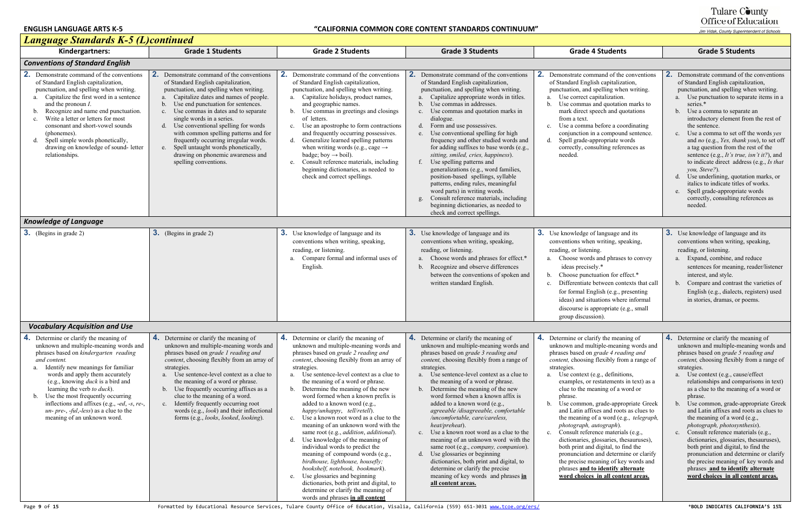#### **LANGUAGE ARTS K‐5 "CALIFORNIA COMMON CORE CONTENT STANDARDS CONTINUUM"**

### *Language Standards K-5 (L)continued*

| Kindergartners:                                                                                                                                                                                                                                                                                                                                                                                                                                                                        | <b>Grade 1 Students</b>                                                                                                                                                                                                                                                                                                                                                                                                                                                                                                                               | <b>Grade 2 Students</b>                                                                                                                                                                                                                                                                                                                                                                                                                                                                                                                                                                                                                                                                                                                                                                                                                                                                                                          | <b>Grade 3 Students</b>                                                                                                                                                                                                                                                                                                                                                                                                                                                                                                                                                                                                                                                                                                                                                                            | <b>Grade 4 Students</b>                                                                                                                                                                                                                                                                                                                                                                                                                                                                                                                                                                                                                                                                                                                                                          | <b>Grade 5 Students</b>                                                                                                                                                                                                                                                                                                                                                                                                                                                                                                                                                                                                     |
|----------------------------------------------------------------------------------------------------------------------------------------------------------------------------------------------------------------------------------------------------------------------------------------------------------------------------------------------------------------------------------------------------------------------------------------------------------------------------------------|-------------------------------------------------------------------------------------------------------------------------------------------------------------------------------------------------------------------------------------------------------------------------------------------------------------------------------------------------------------------------------------------------------------------------------------------------------------------------------------------------------------------------------------------------------|----------------------------------------------------------------------------------------------------------------------------------------------------------------------------------------------------------------------------------------------------------------------------------------------------------------------------------------------------------------------------------------------------------------------------------------------------------------------------------------------------------------------------------------------------------------------------------------------------------------------------------------------------------------------------------------------------------------------------------------------------------------------------------------------------------------------------------------------------------------------------------------------------------------------------------|----------------------------------------------------------------------------------------------------------------------------------------------------------------------------------------------------------------------------------------------------------------------------------------------------------------------------------------------------------------------------------------------------------------------------------------------------------------------------------------------------------------------------------------------------------------------------------------------------------------------------------------------------------------------------------------------------------------------------------------------------------------------------------------------------|----------------------------------------------------------------------------------------------------------------------------------------------------------------------------------------------------------------------------------------------------------------------------------------------------------------------------------------------------------------------------------------------------------------------------------------------------------------------------------------------------------------------------------------------------------------------------------------------------------------------------------------------------------------------------------------------------------------------------------------------------------------------------------|-----------------------------------------------------------------------------------------------------------------------------------------------------------------------------------------------------------------------------------------------------------------------------------------------------------------------------------------------------------------------------------------------------------------------------------------------------------------------------------------------------------------------------------------------------------------------------------------------------------------------------|
| <b>Conventions of Standard English</b>                                                                                                                                                                                                                                                                                                                                                                                                                                                 |                                                                                                                                                                                                                                                                                                                                                                                                                                                                                                                                                       |                                                                                                                                                                                                                                                                                                                                                                                                                                                                                                                                                                                                                                                                                                                                                                                                                                                                                                                                  |                                                                                                                                                                                                                                                                                                                                                                                                                                                                                                                                                                                                                                                                                                                                                                                                    |                                                                                                                                                                                                                                                                                                                                                                                                                                                                                                                                                                                                                                                                                                                                                                                  |                                                                                                                                                                                                                                                                                                                                                                                                                                                                                                                                                                                                                             |
| $\mathbf{2}$<br>Demonstrate command of the conventions<br>of Standard English capitalization,<br>punctuation, and spelling when writing.<br>Capitalize the first word in a sentence<br>a.<br>and the pronoun $I$ .<br>Recognize and name end punctuation.<br>Write a letter or letters for most<br>$\mathbf{c}$ .<br>consonant and short-vowel sounds<br>(phonemes).<br>Spell simple words phonetically,<br>d.<br>drawing on knowledge of sound- letter<br>relationships.              | Demonstrate command of the conventions<br>of Standard English capitalization,<br>punctuation, and spelling when writing.<br>Capitalize dates and names of people.<br>a.<br>Use end punctuation for sentences.<br>$\mathbf{b}$ .<br>Use commas in dates and to separate<br>$c_{\cdot}$<br>single words in a series.<br>d. Use conventional spelling for words<br>with common spelling patterns and for<br>frequently occurring irregular words.<br>e. Spell untaught words phonetically,<br>drawing on phonemic awareness and<br>spelling conventions. | Demonstrate command of the conventions<br>of Standard English capitalization,<br>punctuation, and spelling when writing.<br>Capitalize holidays, product names,<br>a.<br>and geographic names.<br>b. Use commas in greetings and closings<br>of letters.<br>Use an apostrophe to form contractions<br>and frequently occurring possessives.<br>Generalize learned spelling patterns<br>when writing words (e.g., cage $\rightarrow$<br>badge; boy $\rightarrow$ boil).<br>Consult reference materials, including<br>beginning dictionaries, as needed to<br>check and correct spellings.                                                                                                                                                                                                                                                                                                                                         | Demonstrate command of the conventions<br>of Standard English capitalization,<br>punctuation, and spelling when writing.<br>a. Capitalize appropriate words in titles.<br>b. Use commas in addresses.<br>c. Use commas and quotation marks in<br>dialogue.<br>d. Form and use possessives.<br>e. Use conventional spelling for high<br>frequency and other studied words and<br>for adding suffixes to base words (e.g.,<br>sitting, smiled, cries, happiness).<br>Use spelling patterns and<br>generalizations (e.g., word families,<br>position-based spellings, syllable<br>patterns, ending rules, meaningful<br>word parts) in writing words.<br>Consult reference materials, including<br>beginning dictionaries, as needed to<br>check and correct spellings.                               | 2.<br>Demonstrate command of the conventions<br>of Standard English capitalization,<br>punctuation, and spelling when writing.<br>Use correct capitalization.<br>b. Use commas and quotation marks to<br>mark direct speech and quotations<br>from a text.<br>Use a comma before a coordinating<br>conjunction in a compound sentence.<br>d. Spell grade-appropriate words<br>correctly, consulting references as<br>needed.                                                                                                                                                                                                                                                                                                                                                     | Demonstrate command of the<br>of Standard English capitalizat<br>punctuation, and spelling when<br>a. Use punctuation to separat<br>series.*<br>b. Use a comma to separate a<br>introductory element from<br>the sentence.<br>c. Use a comma to set off the<br>and no (e.g., Yes, thank yor<br>a tag question from the res<br>sentence (e.g., It's true, isn<br>to indicate direct address<br>you, Steve?).<br>d. Use underlining, quotation<br>italics to indicate titles of v<br>Spell grade-appropriate wo<br>correctly, consulting refere<br>needed.                                                                    |
| <b>Knowledge of Language</b>                                                                                                                                                                                                                                                                                                                                                                                                                                                           |                                                                                                                                                                                                                                                                                                                                                                                                                                                                                                                                                       |                                                                                                                                                                                                                                                                                                                                                                                                                                                                                                                                                                                                                                                                                                                                                                                                                                                                                                                                  |                                                                                                                                                                                                                                                                                                                                                                                                                                                                                                                                                                                                                                                                                                                                                                                                    |                                                                                                                                                                                                                                                                                                                                                                                                                                                                                                                                                                                                                                                                                                                                                                                  |                                                                                                                                                                                                                                                                                                                                                                                                                                                                                                                                                                                                                             |
| <b>3.</b> (Begins in grade 2)                                                                                                                                                                                                                                                                                                                                                                                                                                                          | <b>3.</b> (Begins in grade 2)                                                                                                                                                                                                                                                                                                                                                                                                                                                                                                                         | <b>3.</b> Use knowledge of language and its<br>conventions when writing, speaking,<br>reading, or listening.<br>Compare formal and informal uses of<br>English.                                                                                                                                                                                                                                                                                                                                                                                                                                                                                                                                                                                                                                                                                                                                                                  | <b>3.</b> Use knowledge of language and its<br>conventions when writing, speaking,<br>reading, or listening.<br>a. Choose words and phrases for effect.*<br>Recognize and observe differences<br>between the conventions of spoken and<br>written standard English.                                                                                                                                                                                                                                                                                                                                                                                                                                                                                                                                | <b>3.</b> Use knowledge of language and its<br>conventions when writing, speaking,<br>reading, or listening.<br>a. Choose words and phrases to convey<br>ideas precisely.*<br>b. Choose punctuation for effect.*<br>Differentiate between contexts that call<br>for formal English (e.g., presenting<br>ideas) and situations where informal<br>discourse is appropriate (e.g., small<br>group discussion).                                                                                                                                                                                                                                                                                                                                                                      | <b>3.</b> Use knowledge of language are<br>conventions when writing, spe<br>reading, or listening.<br>a. Expand, combine, and redu<br>sentences for meaning, rea<br>interest, and style.<br>Compare and contrast the<br>b.<br>English (e.g., dialects, regi<br>in stories, dramas, or poem                                                                                                                                                                                                                                                                                                                                  |
| <b>Vocabulary Acquisition and Use</b>                                                                                                                                                                                                                                                                                                                                                                                                                                                  |                                                                                                                                                                                                                                                                                                                                                                                                                                                                                                                                                       |                                                                                                                                                                                                                                                                                                                                                                                                                                                                                                                                                                                                                                                                                                                                                                                                                                                                                                                                  |                                                                                                                                                                                                                                                                                                                                                                                                                                                                                                                                                                                                                                                                                                                                                                                                    |                                                                                                                                                                                                                                                                                                                                                                                                                                                                                                                                                                                                                                                                                                                                                                                  |                                                                                                                                                                                                                                                                                                                                                                                                                                                                                                                                                                                                                             |
| <b>4.</b> Determine or clarify the meaning of<br>unknown and multiple-meaning words and<br>phrases based on kindergarten reading<br>and content.<br>Identify new meanings for familiar<br>a.<br>words and apply them accurately<br>(e.g., knowing <i>duck</i> is a bird and<br>learning the verb to duck).<br>Use the most frequently occurring<br>b.<br>inflections and affixes (e.g., -ed, -s, re-,<br><i>un- pre-, -ful,-less</i> ) as a clue to the<br>meaning of an unknown word. | <b>4.</b> Determine or clarify the meaning of<br>unknown and multiple-meaning words and<br>phrases based on grade 1 reading and<br>content, choosing flexibly from an array of<br>strategies.<br>a. Use sentence-level context as a clue to<br>the meaning of a word or phrase.<br>Use frequently occurring affixes as a<br>b.<br>clue to the meaning of a word.<br>c. Identify frequently occurring root<br>words (e.g., <i>look</i> ) and their inflectional<br>forms (e.g., looks, looked, looking).                                               | 4. Determine or clarify the meaning of<br>unknown and multiple-meaning words and<br>phrases based on grade 2 reading and<br>content, choosing flexibly from an array of<br>strategies.<br>a. Use sentence-level context as a clue to<br>the meaning of a word or phrase.<br>Determine the meaning of the new<br>word formed when a known prefix is<br>added to a known word (e.g.,<br>happy/unhappy, tell/retell).<br>Use a known root word as a clue to the<br>$c_{\cdot}$<br>meaning of an unknown word with the<br>same root (e.g., <i>addition</i> , <i>additional</i> ).<br>Use knowledge of the meaning of<br>d<br>individual words to predict the<br>meaning of compound words (e.g.,<br>birdhouse, lighthouse, housefly;<br>bookshelf, notebook, bookmark).<br>Use glossaries and beginning<br>e.<br>dictionaries, both print and digital, to<br>determine or clarify the meaning of<br>words and phrases in all content | <b>4.</b> Determine or clarify the meaning of<br>unknown and multiple-meaning words and<br>phrases based on grade 3 reading and<br>content, choosing flexibly from a range of<br>strategies.<br>a. Use sentence-level context as a clue to<br>the meaning of a word or phrase.<br>b. Determine the meaning of the new<br>word formed when a known affix is<br>added to a known word (e.g.,<br>agreeable /disagreeable, comfortable<br>/uncomfortable, care/careless,<br>heat/preheat).<br>c. Use a known root word as a clue to the<br>meaning of an unknown word with the<br>same root (e.g., company, companion).<br>d. Use glossaries or beginning<br>dictionaries, both print and digital, to<br>determine or clarify the precise<br>meaning of key words and phrases in<br>all content areas. | 4. Determine or clarify the meaning of<br>unknown and multiple-meaning words and<br>phrases based on grade 4 reading and<br>content, choosing flexibly from a range of<br>strategies.<br>a. Use context (e.g., definitions,<br>examples, or restatements in text) as a<br>clue to the meaning of a word or<br>phrase.<br>Use common, grade-appropriate Greek<br>b.<br>and Latin affixes and roots as clues to<br>the meaning of a word (e.g., <i>telegraph</i> ,<br>photograph, autograph).<br>Consult reference materials (e.g.,<br>dictionaries, glossaries, thesauruses),<br>both print and digital, to find the<br>pronunciation and determine or clarify<br>the precise meaning of key words and<br>phrases and to identify alternate<br>word choices in all content areas. | 4. Determine or clarify the mean<br>unknown and multiple-meanin<br>phrases based on grade 5 read<br>content, choosing flexibly from<br>strategies.<br>a. Use context (e.g., cause/eff<br>relationships and comparis<br>as a clue to the meaning of<br>phrase.<br>b. Use common, grade-appro<br>and Latin affixes and roots<br>the meaning of a word (e.g<br>photograph, photosynthesi<br>Consult reference material<br>$c_{\cdot}$<br>dictionaries, glossaries, the<br>both print and digital, to fi<br>pronunciation and determi<br>the precise meaning of key<br>phrases and to identify all<br>word choices in all conte |

### Tulare County Office of Education

Jim Vidak, County Superintendent of Schools

#### h capitalization, pelling when writing. vitalization. nd quotation marks to eech and quotations before a coordinating a compound sentence. propriate words ulting references as **2.** Demonstrate command of the conventions of Standard English capitalization, punctuation, and spelling when writing. a. Use punctuation to separate items in a series.\* b. Use a comma to separate an introductory element from the rest of the sentence. c. Use a comma to set off the words *yes*  and *no* (e.g., *Yes, thank you*), to set off a tag question from the rest of the sentence (e.g., *It's true, isn't it?*), and to indicate direct address (e.g., *Is that you, Steve?*). d. Use underlining, quotation marks, or italics to indicate titles of works. e. Spell grade-appropriate words correctly, consulting references as needed. language and its writing, speaking, and phrases to convey ation for effect.\* etween contexts that call lish (e.g., presenting ations where informal propriate (e.g., small  $\sup$ . **3.** Use knowledge of language and its conventions when writing, speaking, reading, or listening. a. Expand, combine, and reduce sentences for meaning, reader/listener interest, and style. b. Compare and contrast the varieties of English (e.g., dialects, registers) used in stories, dramas, or poems. fy the meaning of iple-meaning words and phrases based on *grade 4 reading and*  flexibly from a range of g., definitions, extatements in text) as a ining of a word or grade-appropriate Greek and Latin affixes and roots as clues to a word (e.g., *telegraph, photograph, autograph*).  $\vec{c}$  materials (e.g., ossaries, thesauruses), digital, to find the and determine or clarify aning of key words and identify alternate **4.** Determine or clarify the meaning of unknown and multiple-meaning words and phrases based on *grade 5 reading and content,* choosing flexibly from a range of strategies. a. Use context (e.g., cause/effect relationships and comparisons in text) as a clue to the meaning of a word or phrase. b. Use common, grade-appropriate Greek and Latin affixes and roots as clues to the meaning of a word (e.g., *photograph, photosynthesis*). c. Consult reference materials (e.g., dictionaries, glossaries, thesauruses), both print and digital, to find the pronunciation and determine or clarify the precise meaning of key words and phrases **and to identify alternate word choices in all content areas.**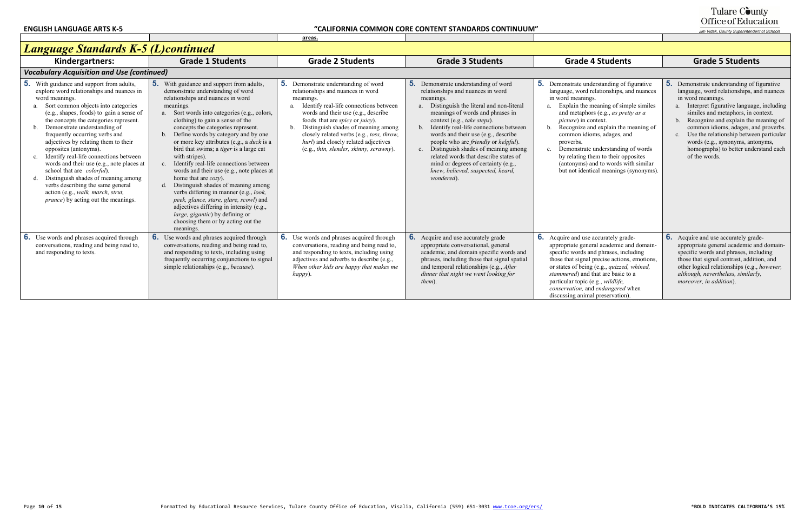#### **LANGUAGE ARTS K‐5 "CALIFORNIA COMMON CORE CONTENT STANDARDS CONTINUUM"**

# Tulare County<br>Office of Education

|                                                                                                                                                                                                                                                                                                                                                                                                                                                                                                                                                                                                                                                                                                |                                                                                                                                                                                                                                                                                                                                                                                                                                                                                                                                                                                                                                                                                                                                                                                                                     | areas.                                                                                                                                                                                                                                                                                                                                                                                                           |                                                                                                                                                                                                                                                                                                                                                                                                                                                                                                                                        |                                                                                                                                                                                                                                                                                                                                                                                                                                                                                                                       |                                                                                                                                                                                                                                                                                                                                                                                                                                   |  |  |  |
|------------------------------------------------------------------------------------------------------------------------------------------------------------------------------------------------------------------------------------------------------------------------------------------------------------------------------------------------------------------------------------------------------------------------------------------------------------------------------------------------------------------------------------------------------------------------------------------------------------------------------------------------------------------------------------------------|---------------------------------------------------------------------------------------------------------------------------------------------------------------------------------------------------------------------------------------------------------------------------------------------------------------------------------------------------------------------------------------------------------------------------------------------------------------------------------------------------------------------------------------------------------------------------------------------------------------------------------------------------------------------------------------------------------------------------------------------------------------------------------------------------------------------|------------------------------------------------------------------------------------------------------------------------------------------------------------------------------------------------------------------------------------------------------------------------------------------------------------------------------------------------------------------------------------------------------------------|----------------------------------------------------------------------------------------------------------------------------------------------------------------------------------------------------------------------------------------------------------------------------------------------------------------------------------------------------------------------------------------------------------------------------------------------------------------------------------------------------------------------------------------|-----------------------------------------------------------------------------------------------------------------------------------------------------------------------------------------------------------------------------------------------------------------------------------------------------------------------------------------------------------------------------------------------------------------------------------------------------------------------------------------------------------------------|-----------------------------------------------------------------------------------------------------------------------------------------------------------------------------------------------------------------------------------------------------------------------------------------------------------------------------------------------------------------------------------------------------------------------------------|--|--|--|
|                                                                                                                                                                                                                                                                                                                                                                                                                                                                                                                                                                                                                                                                                                | <b>Language Standards K-5 (L)continued</b>                                                                                                                                                                                                                                                                                                                                                                                                                                                                                                                                                                                                                                                                                                                                                                          |                                                                                                                                                                                                                                                                                                                                                                                                                  |                                                                                                                                                                                                                                                                                                                                                                                                                                                                                                                                        |                                                                                                                                                                                                                                                                                                                                                                                                                                                                                                                       |                                                                                                                                                                                                                                                                                                                                                                                                                                   |  |  |  |
| Kindergartners:                                                                                                                                                                                                                                                                                                                                                                                                                                                                                                                                                                                                                                                                                | <b>Grade 1 Students</b>                                                                                                                                                                                                                                                                                                                                                                                                                                                                                                                                                                                                                                                                                                                                                                                             | <b>Grade 2 Students</b>                                                                                                                                                                                                                                                                                                                                                                                          | <b>Grade 3 Students</b>                                                                                                                                                                                                                                                                                                                                                                                                                                                                                                                | <b>Grade 4 Students</b>                                                                                                                                                                                                                                                                                                                                                                                                                                                                                               | <b>Grade 5 Students</b>                                                                                                                                                                                                                                                                                                                                                                                                           |  |  |  |
|                                                                                                                                                                                                                                                                                                                                                                                                                                                                                                                                                                                                                                                                                                | <b>Vocabulary Acquisition and Use (continued)</b>                                                                                                                                                                                                                                                                                                                                                                                                                                                                                                                                                                                                                                                                                                                                                                   |                                                                                                                                                                                                                                                                                                                                                                                                                  |                                                                                                                                                                                                                                                                                                                                                                                                                                                                                                                                        |                                                                                                                                                                                                                                                                                                                                                                                                                                                                                                                       |                                                                                                                                                                                                                                                                                                                                                                                                                                   |  |  |  |
| <b>5.</b> With guidance and support from adults,<br>explore word relationships and nuances in<br>word meanings.<br>a. Sort common objects into categories<br>(e.g., shapes, foods) to gain a sense of<br>the concepts the categories represent.<br>Demonstrate understanding of<br>b.<br>frequently occurring verbs and<br>adjectives by relating them to their<br>opposites (antonyms).<br>c. Identify real-life connections between<br>words and their use (e.g., note places at<br>school that are <i>colorful</i> ).<br>Distinguish shades of meaning among<br>d.<br>verbs describing the same general<br>action (e.g., walk, march, strut,<br><i>prance</i> ) by acting out the meanings. | <b>5.</b> With guidance and support from adults,<br>demonstrate understanding of word<br>relationships and nuances in word<br>meanings.<br>a. Sort words into categories (e.g., colors,<br>clothing) to gain a sense of the<br>concepts the categories represent.<br>Define words by category and by one<br>or more key attributes (e.g., a duck is a<br>bird that swims; a <i>tiger</i> is a large cat<br>with stripes).<br>c. Identify real-life connections between<br>words and their use (e.g., note places at<br>home that are <i>cozy</i> ).<br>d. Distinguish shades of meaning among<br>verbs differing in manner (e.g., look,<br>peek, glance, stare, glare, scowl) and<br>adjectives differing in intensity (e.g.,<br>large, gigantic) by defining or<br>choosing them or by acting out the<br>meanings. | <b>5.</b> Demonstrate understanding of word<br>relationships and nuances in word<br>meanings.<br>a. Identify real-life connections between<br>words and their use (e.g., describe<br>foods that are <i>spicy</i> or <i>juicy</i> ).<br>Distinguish shades of meaning among<br>b.<br>closely related verbs (e.g., toss, throw,<br>hurl) and closely related adjectives<br>(e.g., thin, slender, skinny, scrawny). | <b>5.</b> Demonstrate understanding of word<br>relationships and nuances in word<br>meanings.<br>a. Distinguish the literal and non-literal<br>meanings of words and phrases in<br>context (e.g., take steps).<br>b. Identify real-life connections between<br>words and their use (e.g., describe<br>people who are <i>friendly</i> or <i>helpful</i> ).<br>c. Distinguish shades of meaning among<br>related words that describe states of<br>mind or degrees of certainty (e.g.,<br>knew, believed, suspected, heard,<br>wondered). | <b>5.</b> Demonstrate understanding of figurative<br>language, word relationships, and nuances<br>in word meanings.<br>Explain the meaning of simple similes<br>$a_{-}$<br>and metaphors (e.g., as pretty as a<br><i>picture</i> ) in context.<br>Recognize and explain the meaning of<br>b.<br>common idioms, adages, and<br>proverbs.<br>Demonstrate understanding of words<br>$c_{\cdot}$<br>by relating them to their opposites<br>(antonyms) and to words with similar<br>but not identical meanings (synonyms). | <b>5.</b> Demonstrate understanding of figurative<br>language, word relationships, and nuances<br>in word meanings.<br>Interpret figurative language, including<br>similes and metaphors, in context.<br>Recognize and explain the meaning of<br>common idioms, adages, and proverbs.<br>c. Use the relationship between particular<br>words (e.g., synonyms, antonyms,<br>homographs) to better understand each<br>of the words. |  |  |  |
| <b>6.</b> Use words and phrases acquired through<br>conversations, reading and being read to,<br>and responding to texts.                                                                                                                                                                                                                                                                                                                                                                                                                                                                                                                                                                      | 6. Use words and phrases acquired through<br>conversations, reading and being read to,<br>and responding to texts, including using<br>frequently occurring conjunctions to signal<br>simple relationships (e.g., <i>because</i> ).                                                                                                                                                                                                                                                                                                                                                                                                                                                                                                                                                                                  | 6. Use words and phrases acquired through<br>conversations, reading and being read to,<br>and responding to texts, including using<br>adjectives and adverbs to describe (e.g.,<br>When other kids are happy that makes me<br>happy).                                                                                                                                                                            | <b>6.</b> Acquire and use accurately grade<br>appropriate conversational, general<br>academic, and domain specific words and<br>phrases, including those that signal spatial<br>and temporal relationships (e.g., <i>After</i><br>dinner that night we went looking for<br>them).                                                                                                                                                                                                                                                      | <b>6.</b> Acquire and use accurately grade-<br>appropriate general academic and domain-<br>specific words and phrases, including<br>those that signal precise actions, emotions,<br>or states of being (e.g., quizzed, whined,<br><i>stammered</i> ) and that are basic to a<br>particular topic (e.g., wildlife,<br>conservation, and endangered when<br>discussing animal preservation)                                                                                                                             | 6. Acquire and use accurately grade-<br>appropriate general academic and domain-<br>specific words and phrases, including<br>those that signal contrast, addition, and<br>other logical relationships (e.g., however,<br>although, nevertheless, similarly,<br>moreover, in addition).                                                                                                                                            |  |  |  |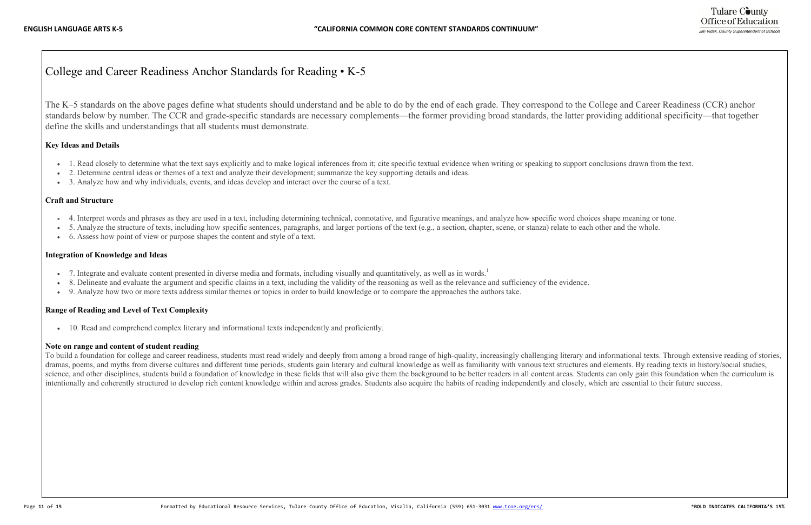## College and Career Readiness Anchor Standards for Reading • K-5

The K–5 standards on the above pages define what students should understand and be able to do by the end of each grade. They correspond to the College and Career Readiness (CCR) anchor standards below by number. The CCR and grade-specific standards are necessary complements—the former providing broad standards, the latter providing additional specificity—that together define the skills and understandings that all students must demonstrate.

- 1. Read closely to determine what the text says explicitly and to make logical inferences from it; cite specific textual evidence when writing or speaking to support conclusions drawn from the text.
- . 2. Determine central ideas or themes of a text and analyze their development; summarize the key supporting details and ideas.
- . 3. Analyze how and why individuals, events, and ideas develop and interact over the course of a text.

### **Key Ideas and Details**

- $\bullet$ 7. Integrate and evaluate content presented in diverse media and formats, including visually and quantitatively, as well as in words.<sup>1</sup>
- $\bullet$ 8. Delineate and evaluate the argument and specific claims in a text, including the validity of the reasoning as well as the relevance and sufficiency of the evidence.
- 0 9. Analyze how two or more texts address similar themes or topics in order to build knowledge or to compare the approaches the authors take.

 $\bullet$ 10. Read and comprehend complex literary and informational texts independently and proficiently.

#### **Craft and Structure**

- 4. Interpret words and phrases as they are used in a text, including determining technical, connotative, and figurative meanings, and analyze how specific word choices shape meaning or tone.
- 5. Analyze the structure of texts, including how specific sentences, paragraphs, and larger portions of the text (e.g., a section, chapter, scene, or stanza) relate to each other and the whole.
- $\bullet$ 6. Assess how point of view or purpose shapes the content and style of a text.

To build a foundation for college and career readiness, students must read widely and deeply from among a broad range of high-quality, increasingly challenging literary and informational texts. Through extensive reading of dramas, poems, and myths from diverse cultures and different time periods, students gain literary and cultural knowledge as well as familiarity with various text structures and elements. By reading texts in history/social science, and other disciplines, students build a foundation of knowledge in these fields that will also give them the background to be better readers in all content areas. Students can only gain this foundation when the cu intentionally and coherently structured to develop rich content knowledge within and across grades. Students also acquire the habits of reading independently and closely, which are essential to their future success.

### Tulare County Office of Education

Jim Vidak, County Superintendent of Schools

#### **Integration of Knowledge and Ideas**

#### **Range of Reading and Level of Text Complexity**

#### **Note on range and content of student reading**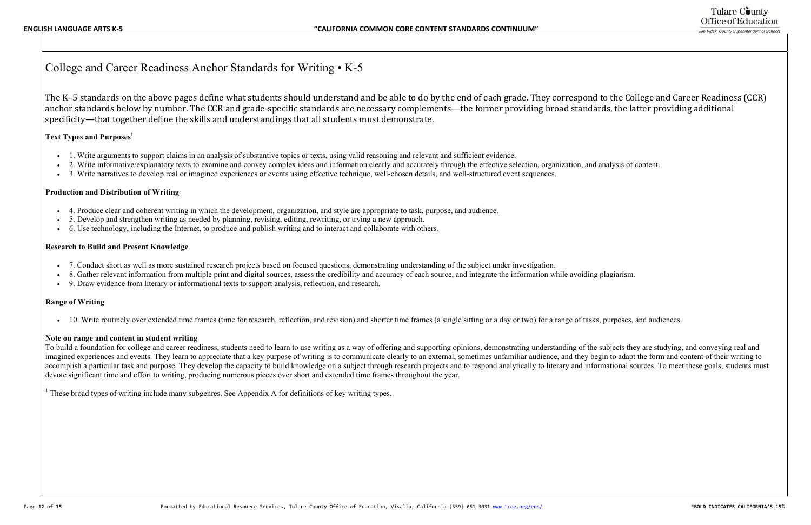### Tulare County Office of Education

Jim Vidak. County Superintendent of School.

## College and Career Readiness Anchor Standards for Writing • K-5

The K–5 standards on the above pages define what students should understand and be able to do by the end of each grade. They correspond to the College and Career Readiness (CCR) anchor standards below by number. The CCR and grade‐specific standards are necessary complements—the former providing broad standards, the latter providing additional specificity—that together define the skills and understandings that all students must demonstrate.

### **Text Types and Purposes<sup>1</sup>**

- 1. Write arguments to support claims in an analysis of substantive topics or texts, using valid reasoning and relevant and sufficient evidence.
- $\bullet$ 2. Write informative/explanatory texts to examine and convey complex ideas and information clearly and accurately through the effective selection, organization, and analysis of content.
- 3. Write narratives to develop real or imagined experiences or events using effective technique, well-chosen details, and well-structured event sequences.

#### **Production and Distribution of Writing**

- 4. Produce clear and coherent writing in which the development, organization, and style are appropriate to task, purpose, and audience.
- $\bullet$ 5. Develop and strengthen writing as needed by planning, revising, editing, rewriting, or trying a new approach.
- . 6. Use technology, including the Internet, to produce and publish writing and to interact and collaborate with others.

To build a foundation for college and career readiness, students need to learn to use writing as a way of offering and supporting opinions, demonstrating understanding of the subjects they are studying, and conveying real imagined experiences and events. They learn to appreciate that a key purpose of writing is to communicate clearly to an external, sometimes unfamiliar audience, and they begin to adapt the form and content of their writing accomplish a particular task and purpose. They develop the capacity to build knowledge on a subject through research projects and to respond analytically to literary and informational sources. To meet these goals, students devote significant time and effort to writing, producing numerous pieces over short and extended time frames throughout the year.

<sup>1</sup> These broad types of writing include many subgenres. See Appendix A for definitions of key writing types.

#### **Research to Build and Present Knowledge**

- 7. Conduct short as well as more sustained research projects based on focused questions, demonstrating understanding of the subject under investigation.
- $\bullet$ 8. Gather relevant information from multiple print and digital sources, assess the credibility and accuracy of each source, and integrate the information while avoiding plagiarism.
- 9. Draw evidence from literary or informational texts to support analysis, reflection, and research.

#### **Range of Writing**

• 10. Write routinely over extended time frames (time for research, reflection, and revision) and shorter time frames (a single sitting or a day or two) for a range of tasks, purposes, and audiences.

#### **Note on range and content in student writing**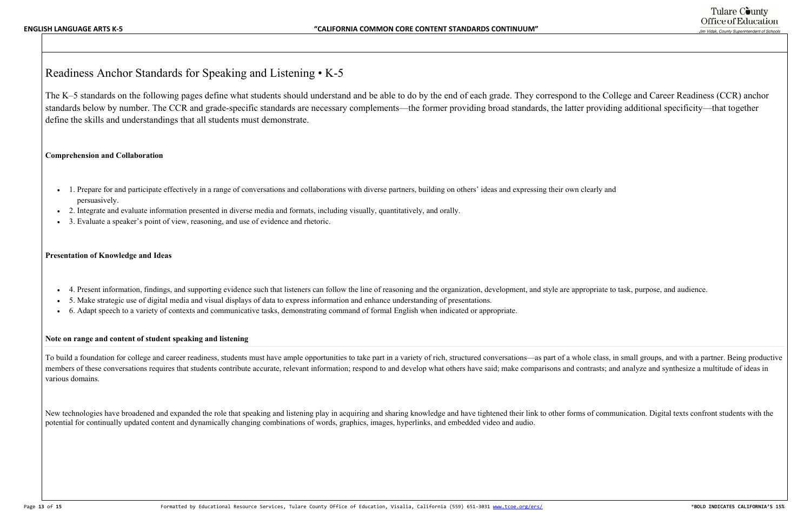### Readiness Anchor Standards for Speaking and Listening • K-5

The K–5 standards on the following pages define what students should understand and be able to do by the end of each grade. They correspond to the College and Career Readiness (CCR) anchor standards below by number. The CCR and grade-specific standards are necessary complements—the former providing broad standards, the latter providing additional specificity—that together define the skills and understandings that all students must demonstrate.

- . 1. Prepare for and participate effectively in a range of conversations and collaborations with diverse partners, building on others' ideas and expressing their own clearly and persuasively.
- $\bullet$ 2. Integrate and evaluate information presented in diverse media and formats, including visually, quantitatively, and orally.
- 3. Evaluate a speaker's point of view, reasoning, and use of evidence and rhetoric.

### **Comprehension and Collaboration**

- $\bullet$ 4. Present information, findings, and supporting evidence such that listeners can follow the line of reasoning and the organization, development, and style are appropriate to task, purpose, and audience.
- . 5. Make strategic use of digital media and visual displays of data to express information and enhance understanding of presentations.
- $\bullet$ 6. Adapt speech to a variety of contexts and communicative tasks, demonstrating command of formal English when indicated or appropriate.

To build a foundation for college and career readiness, students must have ample opportunities to take part in a variety of rich, structured conversations—as part of a whole class, in small groups, and with a partner. Bein members of these conversations requires that students contribute accurate, relevant information; respond to and develop what others have said; make comparisons and contrasts; and analyze and synthesize a multitude of ideas various domains.

#### **Presentation of Knowledge and Ideas**

New technologies have broadened and expanded the role that speaking and listening play in acquiring and sharing knowledge and have tightened their link to other forms of communication. Digital texts confront students with potential for continually updated content and dynamically changing combinations of words, graphics, images, hyperlinks, and embedded video and audio.

### Tulare County Office of Education

Jim Vidak, County Superintendent of Schoe

#### **Note on range and content of student speaking and listening**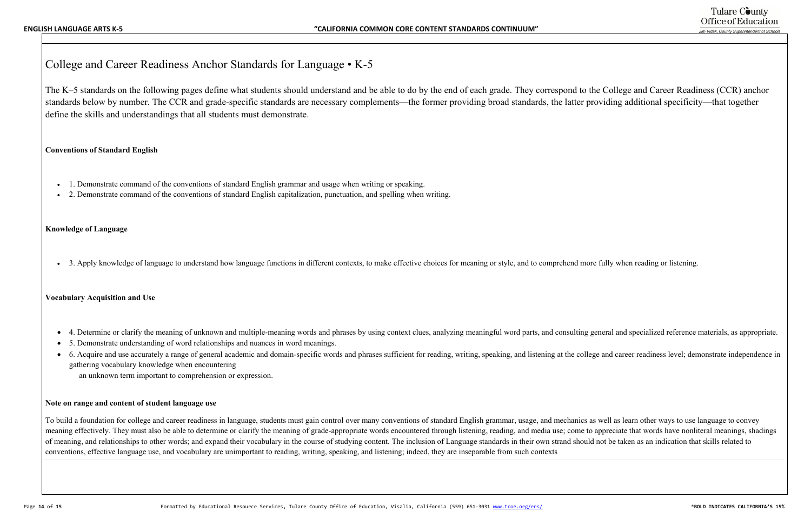### Tulare County Office of Education

Jim Vidak, County Superintendent of Sch

## College and Career Readiness Anchor Standards for Language • K-5

The K–5 standards on the following pages define what students should understand and be able to do by the end of each grade. They correspond to the College and Career Readiness (CCR) anchor standards below by number. The CCR and grade-specific standards are necessary complements—the former providing broad standards, the latter providing additional specificity—that together define the skills and understandings that all students must demonstrate.

#### **Conventions of Standard English**

- 1. Demonstrate command of the conventions of standard English grammar and usage when writing or speaking.
- . 2. Demonstrate command of the conventions of standard English capitalization, punctuation, and spelling when writing.

- $\bullet$ 4. Determine or clarify the meaning of unknown and multiple-meaning words and phrases by using context clues, analyzing meaningful word parts, and consulting general and specialized reference materials, as appropriate.
- $\bullet$ 5. Demonstrate understanding of word relationships and nuances in word meanings.
- $\bullet$  6. Acquire and use accurately a range of general academic and domain-specific words and phrases sufficient for reading, writing, speaking, and listening at the college and career readiness level; demonstrate independence in gathering vocabulary knowledge when encountering an unknown term important to comprehension or expression.

#### **Knowledge of Language**

• 3. Apply knowledge of language to understand how language functions in different contexts, to make effective choices for meaning or style, and to comprehend more fully when reading or listening.

#### **Vocabulary Acquisition and Use**

## **Note on range and content of student language use**

To build a foundation for college and career readiness in language, students must gain control over many conventions of standard English grammar, usage, and mechanics as well as learn other ways to use language to convey meaning effectively. They must also be able to determine or clarify the meaning of grade-appropriate words encountered through listening, reading, and media use; come to appreciate that words have nonliteral meanings, shad of meaning, and relationships to other words; and expand their vocabulary in the course of studying content. The inclusion of Language standards in their own strand should not be taken as an indication that skills related to conventions, effective language use, and vocabulary are unimportant to reading, writing, speaking, and listening; indeed, they are inseparable from such contexts